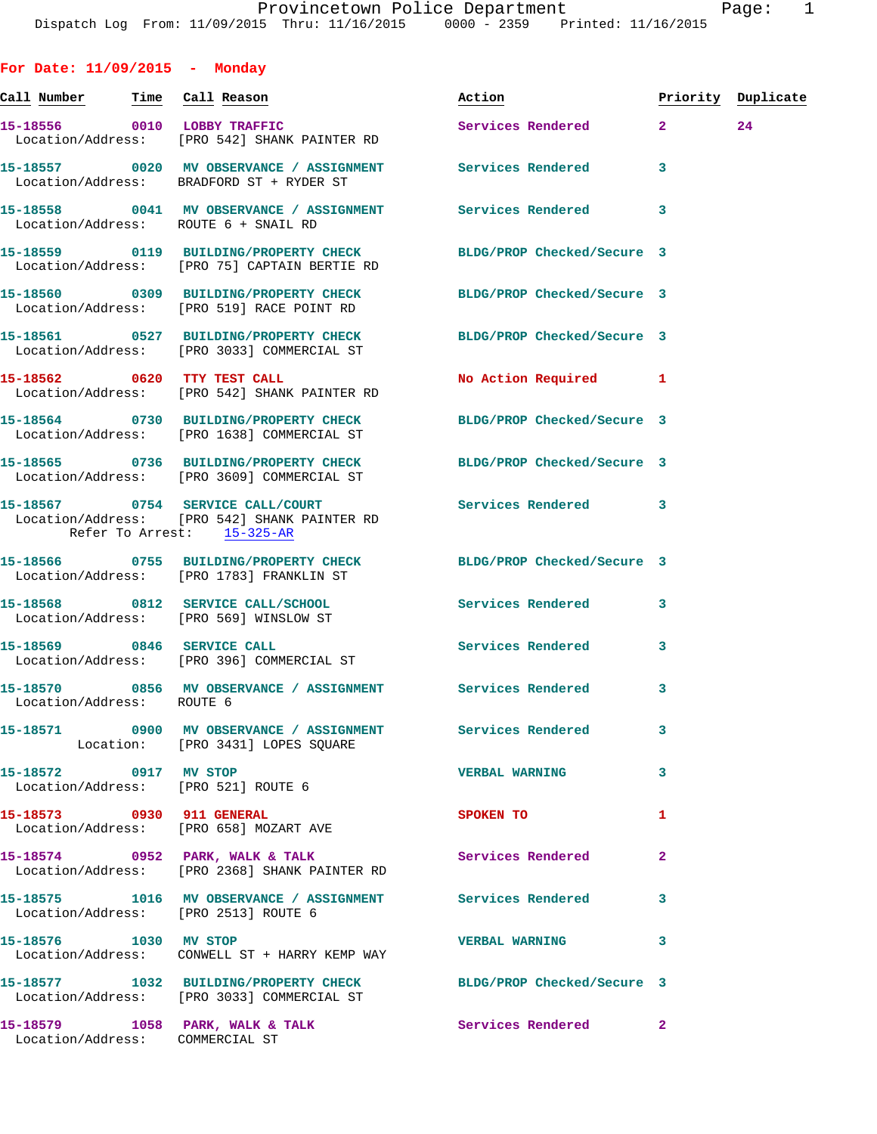| For Date: $11/09/2015$ - Monday       |                                                                                                                  |                            |                    |    |
|---------------------------------------|------------------------------------------------------------------------------------------------------------------|----------------------------|--------------------|----|
| <u>Call Number — Time Call Reason</u> |                                                                                                                  | Action                     | Priority Duplicate |    |
| 15-18556 0010 LOBBY TRAFFIC           | Location/Address: [PRO 542] SHANK PAINTER RD                                                                     | Services Rendered 2        |                    | 24 |
|                                       | 15-18557 0020 MV OBSERVANCE / ASSIGNMENT Services Rendered<br>Location/Address: BRADFORD ST + RYDER ST           |                            | 3                  |    |
|                                       | 15-18558 0041 MV OBSERVANCE / ASSIGNMENT Services Rendered 3<br>Location/Address: ROUTE 6 + SNAIL RD             |                            |                    |    |
|                                       | 15-18559 0119 BUILDING/PROPERTY CHECK BLDG/PROP Checked/Secure 3<br>Location/Address: [PRO 75] CAPTAIN BERTIE RD |                            |                    |    |
|                                       | 15-18560 0309 BUILDING/PROPERTY CHECK BLDG/PROP Checked/Secure 3<br>Location/Address: [PRO 519] RACE POINT RD    |                            |                    |    |
|                                       | 15-18561 0527 BUILDING/PROPERTY CHECK BLDG/PROP Checked/Secure 3<br>Location/Address: [PRO 3033] COMMERCIAL ST   |                            |                    |    |
|                                       | 15-18562 0620 TTY TEST CALL<br>Location/Address: [PRO 542] SHANK PAINTER RD                                      | No Action Required 1       |                    |    |
|                                       | 15-18564 0730 BUILDING/PROPERTY CHECK<br>Location/Address: [PRO 1638] COMMERCIAL ST                              | BLDG/PROP Checked/Secure 3 |                    |    |
|                                       | 15-18565 0736 BUILDING/PROPERTY CHECK BLDG/PROP Checked/Secure 3<br>Location/Address: [PRO 3609] COMMERCIAL ST   |                            |                    |    |
|                                       | 15-18567 0754 SERVICE CALL/COURT<br>Location/Address: [PRO 542] SHANK PAINTER RD<br>Refer To Arrest: 15-325-AR   | Services Rendered 3        |                    |    |
|                                       | 15-18566 0755 BUILDING/PROPERTY CHECK BLDG/PROP Checked/Secure 3<br>Location/Address: [PRO 1783] FRANKLIN ST     |                            |                    |    |
|                                       | 15-18568 0812 SERVICE CALL/SCHOOL<br>Location/Address: [PRO 569] WINSLOW ST                                      | Services Rendered          | $\mathbf{3}$       |    |
|                                       | 15-18569 0846 SERVICE CALL<br>Location/Address: [PRO 396] COMMERCIAL ST                                          | <b>Services Rendered</b>   | 3                  |    |
|                                       | 15-18570 0856 MV OBSERVANCE / ASSIGNMENT Services Rendered<br>Location/Address: ROUTE 6                          |                            | 3                  |    |
|                                       | Location: [PRO 3431] LOPES SQUARE                                                                                |                            | 3                  |    |
| 15-18572 0917 MV STOP                 | Location/Address: [PRO 521] ROUTE 6                                                                              | <b>VERBAL WARNING</b>      | 3                  |    |
|                                       | 15-18573 0930 911 GENERAL<br>Location/Address: [PRO 658] MOZART AVE                                              | SPOKEN TO                  | 1                  |    |
|                                       | 15-18574 0952 PARK, WALK & TALK 1988 Services Rendered<br>Location/Address: [PRO 2368] SHANK PAINTER RD          |                            | $\mathbf{2}$       |    |
|                                       | 15-18575 1016 MV OBSERVANCE / ASSIGNMENT Services Rendered<br>Location/Address: [PRO 2513] ROUTE 6               |                            | 3                  |    |
| 15-18576 1030 MV STOP                 | Location/Address: CONWELL ST + HARRY KEMP WAY                                                                    | <b>VERBAL WARNING</b>      | 3                  |    |
|                                       |                                                                                                                  |                            |                    |    |

**15-18577 1032 BUILDING/PROPERTY CHECK BLDG/PROP Checked/Secure 3**  Location/Address: [PRO 3033] COMMERCIAL ST

**15-18579 1058 PARK, WALK & TALK Services Rendered 2**  Location/Address: COMMERCIAL ST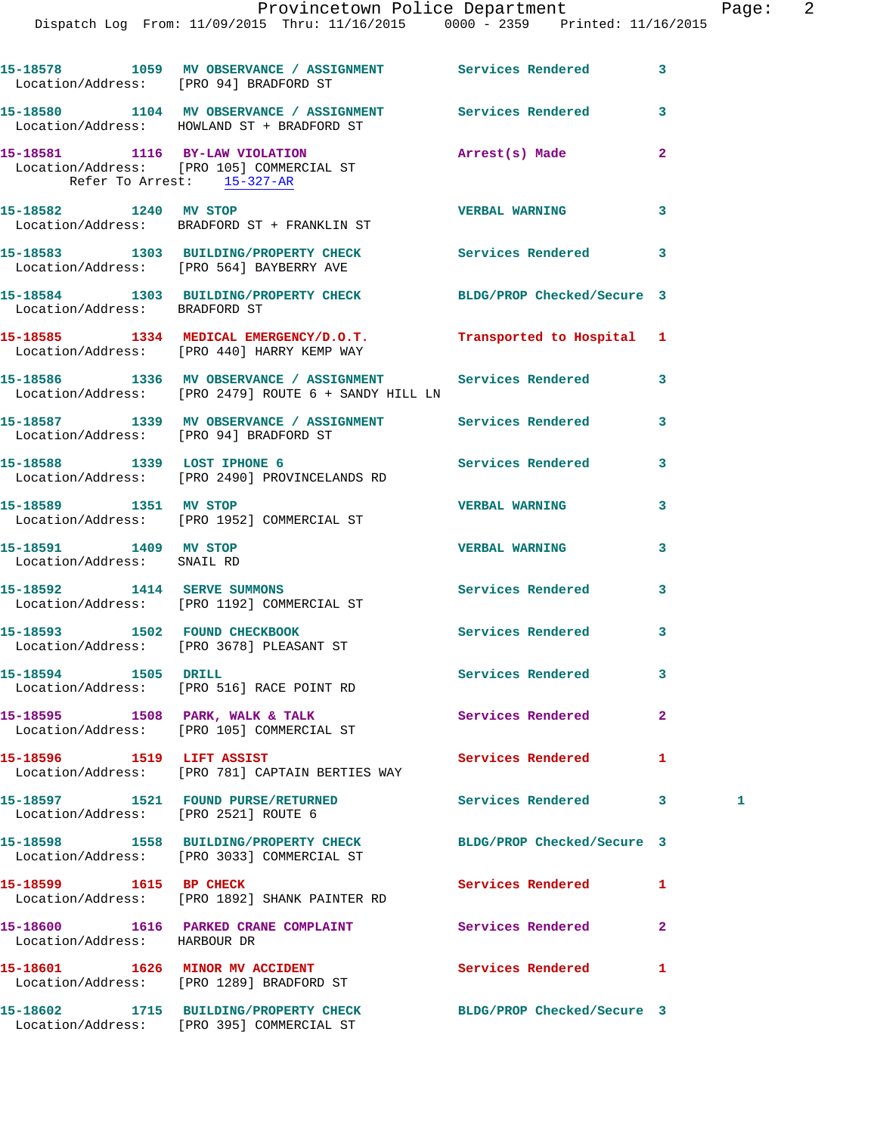|                                                     | 15-18578 1059 MV OBSERVANCE / ASSIGNMENT Services Rendered<br>Location/Address: [PRO 94] BRADFORD ST               |                            | 3              |    |
|-----------------------------------------------------|--------------------------------------------------------------------------------------------------------------------|----------------------------|----------------|----|
|                                                     | 15-18580 1104 MV OBSERVANCE / ASSIGNMENT Services Rendered<br>Location/Address: HOWLAND ST + BRADFORD ST           |                            | 3              |    |
| Refer To Arrest: 15-327-AR                          | 15-18581 1116 BY-LAW VIOLATION<br>Location/Address: [PRO 105] COMMERCIAL ST                                        | Arrest(s) Made             | $\overline{2}$ |    |
| 15-18582 1240 MV STOP                               | Location/Address: BRADFORD ST + FRANKLIN ST                                                                        | <b>VERBAL WARNING</b>      | 3              |    |
|                                                     | 15-18583 1303 BUILDING/PROPERTY CHECK<br>Location/Address: [PRO 564] BAYBERRY AVE                                  | Services Rendered          | 3              |    |
| Location/Address: BRADFORD ST                       | 15-18584 1303 BUILDING/PROPERTY CHECK BLDG/PROP Checked/Secure 3                                                   |                            |                |    |
|                                                     | 15-18585 1334 MEDICAL EMERGENCY/D.O.T.<br>Location/Address: [PRO 440] HARRY KEMP WAY                               | Transported to Hospital 1  |                |    |
|                                                     | 15-18586 1336 MV OBSERVANCE / ASSIGNMENT Services Rendered<br>Location/Address: [PRO 2479] ROUTE 6 + SANDY HILL LN |                            | 3              |    |
| Location/Address: [PRO 94] BRADFORD ST              | 15-18587 1339 MV OBSERVANCE / ASSIGNMENT Services Rendered                                                         |                            | 3              |    |
| 15-18588 1339 LOST IPHONE 6                         | Location/Address: [PRO 2490] PROVINCELANDS RD                                                                      | Services Rendered          | 3              |    |
|                                                     | 15-18589 1351 MV STOP<br>Location/Address: [PRO 1952] COMMERCIAL ST                                                | <b>VERBAL WARNING</b>      | 3              |    |
| 15-18591 1409 MV STOP<br>Location/Address: SNAIL RD |                                                                                                                    | <b>VERBAL WARNING</b>      | 3              |    |
|                                                     | 15-18592 1414 SERVE SUMMONS<br>Location/Address: [PRO 1192] COMMERCIAL ST                                          | Services Rendered          | 3              |    |
|                                                     | 15-18593 1502 FOUND CHECKBOOK<br>Location/Address: [PRO 3678] PLEASANT ST                                          | <b>Services Rendered</b>   | 3              |    |
| 15-18594 1505 DRILL                                 | Location/Address: [PRO 516] RACE POINT RD                                                                          | Services Rendered 3        |                |    |
|                                                     | 15-18595 1508 PARK, WALK & TALK<br>Location/Address: [PRO 105] COMMERCIAL ST                                       | <b>Services Rendered</b>   | $\overline{2}$ |    |
|                                                     | 15-18596 1519 LIFT ASSIST<br>Location/Address: [PRO 781] CAPTAIN BERTIES WAY                                       | <b>Services Rendered</b>   | 1              |    |
| Location/Address: [PRO 2521] ROUTE 6                | 15-18597 1521 FOUND PURSE/RETURNED                                                                                 | Services Rendered          | 3              | 1. |
|                                                     | 15-18598 1558 BUILDING/PROPERTY CHECK<br>Location/Address: [PRO 3033] COMMERCIAL ST                                | BLDG/PROP Checked/Secure 3 |                |    |
| 15-18599 1615 BP CHECK                              | Location/Address: [PRO 1892] SHANK PAINTER RD                                                                      | Services Rendered          | 1              |    |
| Location/Address: HARBOUR DR                        | 15-18600 1616 PARKED CRANE COMPLAINT                                                                               | Services Rendered          | 2              |    |
|                                                     | 15-18601 1626 MINOR MV ACCIDENT<br>Location/Address: [PRO 1289] BRADFORD ST                                        | Services Rendered          | 1              |    |
|                                                     | 15-18602 1715 BUILDING/PROPERTY CHECK<br>Location/Address: [PRO 395] COMMERCIAL ST                                 | BLDG/PROP Checked/Secure 3 |                |    |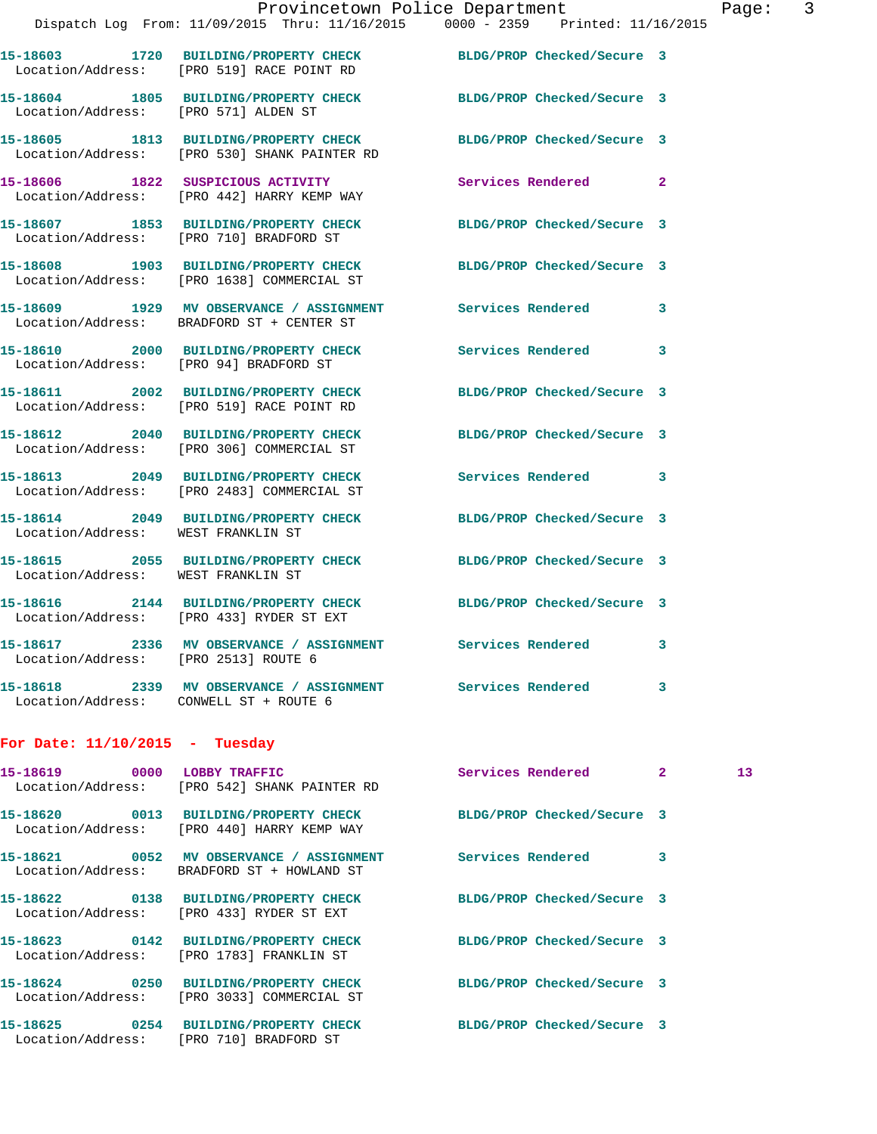|                                      |                                                                                                                  | Provincetown Police Department | Page: 3        |
|--------------------------------------|------------------------------------------------------------------------------------------------------------------|--------------------------------|----------------|
|                                      | Dispatch Log From: 11/09/2015 Thru: 11/16/2015 0000 - 2359 Printed: 11/16/2015                                   |                                |                |
|                                      | 15-18603 1720 BUILDING/PROPERTY CHECK BLDG/PROP Checked/Secure 3<br>Location/Address: [PRO 519] RACE POINT RD    |                                |                |
| Location/Address: [PRO 571] ALDEN ST | 15-18604 1805 BUILDING/PROPERTY CHECK BLDG/PROP Checked/Secure 3                                                 |                                |                |
|                                      | 15-18605 1813 BUILDING/PROPERTY CHECK BLDG/PROP Checked/Secure 3<br>Location/Address: [PRO 530] SHANK PAINTER RD |                                |                |
|                                      | 15-18606 1822 SUSPICIOUS ACTIVITY<br>Location/Address: [PRO 442] HARRY KEMP WAY                                  | <b>Services Rendered</b>       | $\overline{2}$ |
|                                      | 15-18607 1853 BUILDING/PROPERTY CHECK BLDG/PROP Checked/Secure 3<br>Location/Address: [PRO 710] BRADFORD ST      |                                |                |
|                                      | 15-18608 1903 BUILDING/PROPERTY CHECK<br>Location/Address: [PRO 1638] COMMERCIAL ST                              | BLDG/PROP Checked/Secure 3     |                |
|                                      | 15-18609 1929 MV OBSERVANCE / ASSIGNMENT Services Rendered 3<br>Location/Address: BRADFORD ST + CENTER ST        |                                |                |
|                                      | 15-18610 2000 BUILDING/PROPERTY CHECK Services Rendered 3<br>Location/Address: [PRO 94] BRADFORD ST              |                                |                |
|                                      | 15-18611 2002 BUILDING/PROPERTY CHECK BLDG/PROP Checked/Secure 3<br>Location/Address: [PRO 519] RACE POINT RD    |                                |                |
|                                      | 15-18612  2040 BUILDING/PROPERTY CHECK BLDG/PROP Checked/Secure 3<br>Location/Address: [PRO 306] COMMERCIAL ST   |                                |                |
|                                      | 15-18613 2049 BUILDING/PROPERTY CHECK Services Rendered 3<br>Location/Address: [PRO 2483] COMMERCIAL ST          |                                |                |
| Location/Address: WEST FRANKLIN ST   | 15-18614 2049 BUILDING/PROPERTY CHECK BLDG/PROP Checked/Secure 3                                                 |                                |                |
| Location/Address: WEST FRANKLIN ST   | 15-18615 2055 BUILDING/PROPERTY CHECK BLDG/PROP Checked/Secure 3                                                 |                                |                |
|                                      | 15-18616 2144 BUILDING/PROPERTY CHECK BLDG/PROP Checked/Secure 3<br>Location/Address: [PRO 433] RYDER ST EXT     |                                |                |
| Location/Address: [PRO 2513] ROUTE 6 | 15-18617 2336 MV OBSERVANCE / ASSIGNMENT Services Rendered                                                       |                                | $\mathbf{3}$   |
|                                      |                                                                                                                  |                                |                |

## **For Date: 11/10/2015 - Tuesday**

Location/Address: CONWELL ST + ROUTE 6

| Location/Address: [PRO 542] SHANK PAINTER RD                                        | Services Rendered          | $\overline{2}$ | 13 <sup>7</sup> |
|-------------------------------------------------------------------------------------|----------------------------|----------------|-----------------|
| Location/Address: [PRO 440] HARRY KEMP WAY                                          | BLDG/PROP Checked/Secure 3 |                |                 |
| Location/Address: BRADFORD ST + HOWLAND ST                                          | Services Rendered          | 3              |                 |
| 15-18622  0138 BUILDING/PROPERTY CHECK<br>Location/Address: [PRO 433] RYDER ST EXT  | BLDG/PROP Checked/Secure 3 |                |                 |
| Location/Address: [PRO 1783] FRANKLIN ST                                            | BLDG/PROP Checked/Secure 3 |                |                 |
| 15-18624 0250 BUILDING/PROPERTY CHECK<br>Location/Address: [PRO 3033] COMMERCIAL ST | BLDG/PROP Checked/Secure 3 |                |                 |
| 15-18625 0254 BUILDING/PROPERTY CHECK<br>Location/Address: [PRO 710] BRADFORD ST    | BLDG/PROP Checked/Secure 3 |                |                 |

**15-18618 2339 MV OBSERVANCE / ASSIGNMENT Services Rendered 3**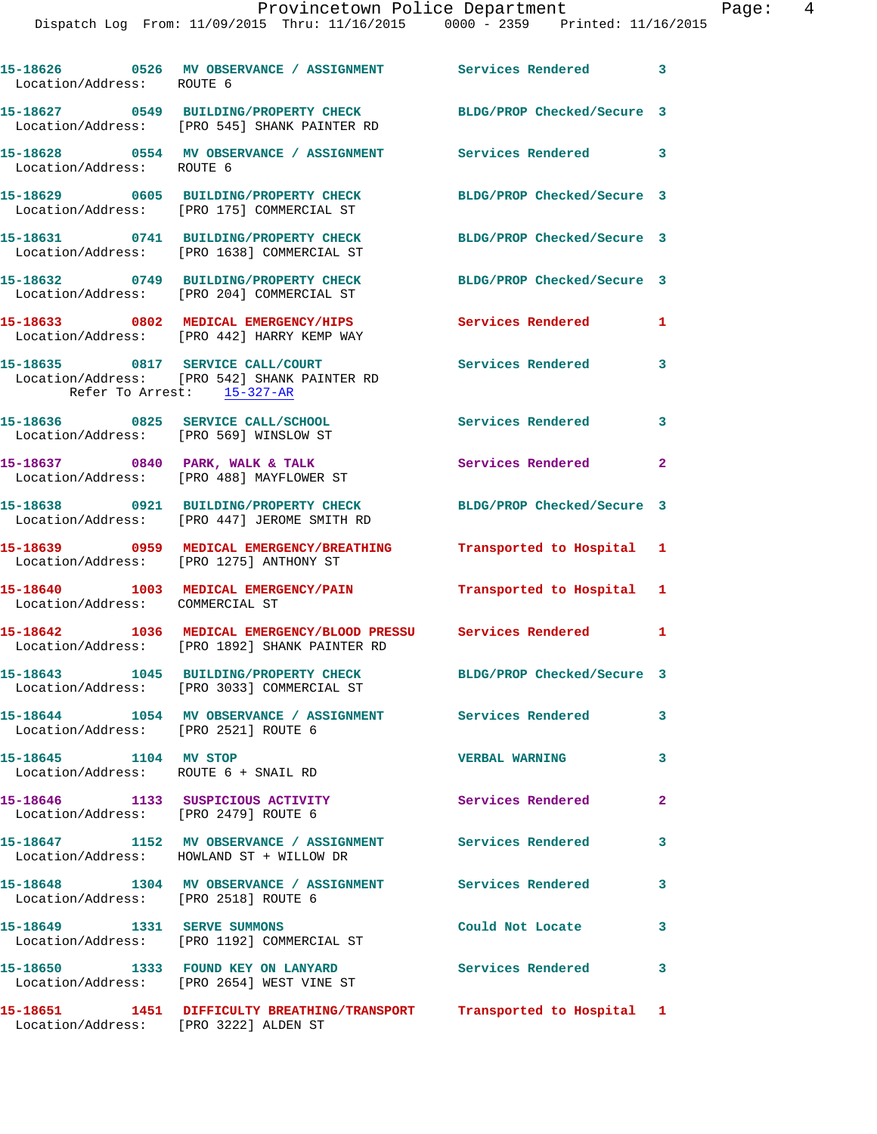| Location/Address: ROUTE 6                                     | 15-18626 0526 MV OBSERVANCE / ASSIGNMENT Services Rendered 3                                                      |                            |                         |
|---------------------------------------------------------------|-------------------------------------------------------------------------------------------------------------------|----------------------------|-------------------------|
|                                                               | 15-18627 0549 BUILDING/PROPERTY CHECK<br>Location/Address: [PRO 545] SHANK PAINTER RD                             | BLDG/PROP Checked/Secure 3 |                         |
| Location/Address: ROUTE 6                                     | 15-18628 0554 MV OBSERVANCE / ASSIGNMENT Services Rendered 3                                                      |                            |                         |
|                                                               | 15-18629 0605 BUILDING/PROPERTY CHECK<br>Location/Address: [PRO 175] COMMERCIAL ST                                | BLDG/PROP Checked/Secure 3 |                         |
|                                                               | 15-18631 0741 BUILDING/PROPERTY CHECK<br>Location/Address: [PRO 1638] COMMERCIAL ST                               | BLDG/PROP Checked/Secure 3 |                         |
|                                                               | 15-18632 0749 BUILDING/PROPERTY CHECK<br>Location/Address: [PRO 204] COMMERCIAL ST                                | BLDG/PROP Checked/Secure 3 |                         |
|                                                               | 15-18633 0802 MEDICAL EMERGENCY/HIPS<br>Location/Address: [PRO 442] HARRY KEMP WAY                                | Services Rendered          | $\mathbf{1}$            |
|                                                               | 15-18635 0817 SERVICE CALL/COURT<br>Location/Address: [PRO 542] SHANK PAINTER RD<br>Refer To Arrest: 15-327-AR    | Services Rendered          | 3                       |
| Location/Address: [PRO 569] WINSLOW ST                        | 15-18636 0825 SERVICE CALL/SCHOOL                                                                                 | <b>Services Rendered</b>   | $\overline{\mathbf{3}}$ |
|                                                               | 15-18637 0840 PARK, WALK & TALK<br>Location/Address: [PRO 488] MAYFLOWER ST                                       | Services Rendered 2        |                         |
|                                                               | 15-18638 0921 BUILDING/PROPERTY CHECK<br>Location/Address: [PRO 447] JEROME SMITH RD                              | BLDG/PROP Checked/Secure 3 |                         |
|                                                               | 15-18639 0959 MEDICAL EMERGENCY/BREATHING<br>Location/Address: [PRO 1275] ANTHONY ST                              | Transported to Hospital 1  |                         |
| Location/Address: COMMERCIAL ST                               | 15-18640 1003 MEDICAL EMERGENCY/PAIN                                                                              | Transported to Hospital 1  |                         |
|                                                               | 15-18642 1036 MEDICAL EMERGENCY/BLOOD PRESSU Services Rendered 1<br>Location/Address: [PRO 1892] SHANK PAINTER RD |                            |                         |
|                                                               | 15-18643 1045 BUILDING/PROPERTY CHECK<br>Location/Address: [PRO 3033] COMMERCIAL ST                               | BLDG/PROP Checked/Secure 3 |                         |
| Location/Address: [PRO 2521] ROUTE 6                          |                                                                                                                   |                            | 3                       |
| 15-18645 1104 MV STOP<br>Location/Address: ROUTE 6 + SNAIL RD |                                                                                                                   | <b>VERBAL WARNING</b>      | 3                       |
| Location/Address: [PRO 2479] ROUTE 6                          | 15-18646 1133 SUSPICIOUS ACTIVITY                                                                                 | Services Rendered          | $\mathbf{2}$            |
|                                                               | 15-18647 1152 MV OBSERVANCE / ASSIGNMENT Services Rendered<br>Location/Address: HOWLAND ST + WILLOW DR            |                            | 3                       |
| Location/Address: [PRO 2518] ROUTE 6                          | 15-18648 1304 MV OBSERVANCE / ASSIGNMENT Services Rendered                                                        |                            | 3                       |
| 15-18649 1331 SERVE SUMMONS                                   | Location/Address: [PRO 1192] COMMERCIAL ST                                                                        | Could Not Locate           | 3                       |
|                                                               | 15-18650 1333 FOUND KEY ON LANYARD<br>Location/Address: [PRO 2654] WEST VINE ST                                   | Services Rendered 3        |                         |
|                                                               | 15-18651 1451 DIFFICULTY BREATHING/TRANSPORT Transported to Hospital 1<br>Location/Address: [PRO 3222] ALDEN ST   |                            |                         |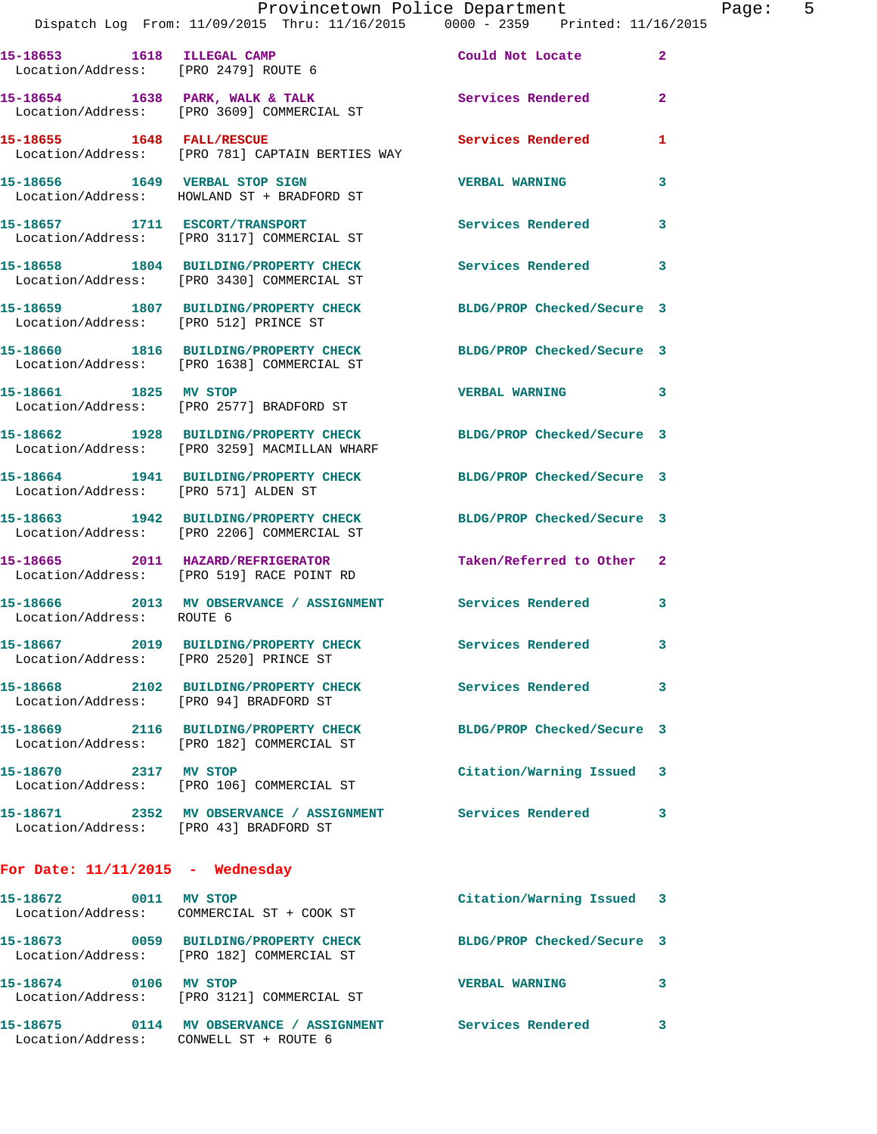|                                        | Provincetown Police Department<br>Dispatch Log From: 11/09/2015 Thru: 11/16/2015 0000 - 2359 Printed: 11/16/2015 |                            |                |
|----------------------------------------|------------------------------------------------------------------------------------------------------------------|----------------------------|----------------|
| Location/Address: [PRO 2479] ROUTE 6   | 15-18653 1618 ILLEGAL CAMP                                                                                       | Could Not Locate           | $\mathbf{2}$   |
|                                        | 15-18654 1638 PARK, WALK & TALK<br>Location/Address: [PRO 3609] COMMERCIAL ST                                    | Services Rendered          | $\overline{2}$ |
|                                        | 15-18655 1648 FALL/RESCUE<br>Location/Address: [PRO 781] CAPTAIN BERTIES WAY                                     | <b>Services Rendered</b>   | 1              |
|                                        | 15-18656 1649 VERBAL STOP SIGN<br>Location/Address: HOWLAND ST + BRADFORD ST                                     | <b>VERBAL WARNING</b>      | 3              |
|                                        | 15-18657 1711 ESCORT/TRANSPORT<br>Location/Address: [PRO 3117] COMMERCIAL ST                                     | <b>Services Rendered</b>   | 3              |
|                                        | 15-18658 1804 BUILDING/PROPERTY CHECK Services Rendered<br>Location/Address: [PRO 3430] COMMERCIAL ST            |                            | 3              |
| Location/Address: [PRO 512] PRINCE ST  | 15-18659 1807 BUILDING/PROPERTY CHECK                                                                            | BLDG/PROP Checked/Secure 3 |                |
|                                        | 15-18660 1816 BUILDING/PROPERTY CHECK BLDG/PROP Checked/Secure 3<br>Location/Address: [PRO 1638] COMMERCIAL ST   |                            |                |
| 15-18661 1825 MV STOP                  | Location/Address: [PRO 2577] BRADFORD ST                                                                         | <b>VERBAL WARNING</b>      | 3              |
|                                        | 15-18662 1928 BUILDING/PROPERTY CHECK BLDG/PROP Checked/Secure 3<br>Location/Address: [PRO 3259] MACMILLAN WHARF |                            |                |
| Location/Address: [PRO 571] ALDEN ST   | 15-18664 1941 BUILDING/PROPERTY CHECK                                                                            | BLDG/PROP Checked/Secure 3 |                |
|                                        | 15-18663 1942 BUILDING/PROPERTY CHECK BLDG/PROP Checked/Secure 3<br>Location/Address: [PRO 2206] COMMERCIAL ST   |                            |                |
|                                        | 15-18665 2011 HAZARD/REFRIGERATOR<br>Location/Address: [PRO 519] RACE POINT RD                                   | Taken/Referred to Other    | $\mathbf{2}$   |
| Location/Address: ROUTE 6              | 15-18666 2013 MV OBSERVANCE / ASSIGNMENT Services Rendered                                                       |                            | 3              |
| Location/Address: [PRO 2520] PRINCE ST | 15-18667 2019 BUILDING/PROPERTY CHECK                                                                            | Services Rendered          | 3              |
| Location/Address: [PRO 94] BRADFORD ST | 15-18668 2102 BUILDING/PROPERTY CHECK                                                                            | <b>Services Rendered</b>   | 3              |
|                                        | 15-18669 2116 BUILDING/PROPERTY CHECK<br>Location/Address: [PRO 182] COMMERCIAL ST                               | BLDG/PROP Checked/Secure 3 |                |
| 15-18670 2317 MV STOP                  | Location/Address: [PRO 106] COMMERCIAL ST                                                                        | Citation/Warning Issued    | 3              |
| Location/Address: [PRO 43] BRADFORD ST |                                                                                                                  |                            | 3              |
| For Date: $11/11/2015$ - Wednesday     |                                                                                                                  |                            |                |
| 15-18672 0011 MV STOP                  | Location/Address: COMMERCIAL ST + COOK ST                                                                        | Citation/Warning Issued    | 3              |
|                                        | Location/Address: [PRO 182] COMMERCIAL ST                                                                        | BLDG/PROP Checked/Secure 3 |                |
| 15-18674 0106 MV STOP                  | Location/Address: [PRO 3121] COMMERCIAL ST                                                                       | <b>VERBAL WARNING</b>      | 3              |

**15-18675 0114 MV OBSERVANCE / ASSIGNMENT Services Rendered 3** 

Location/Address: CONWELL ST + ROUTE 6

Page: 5<br><sup>15</sup>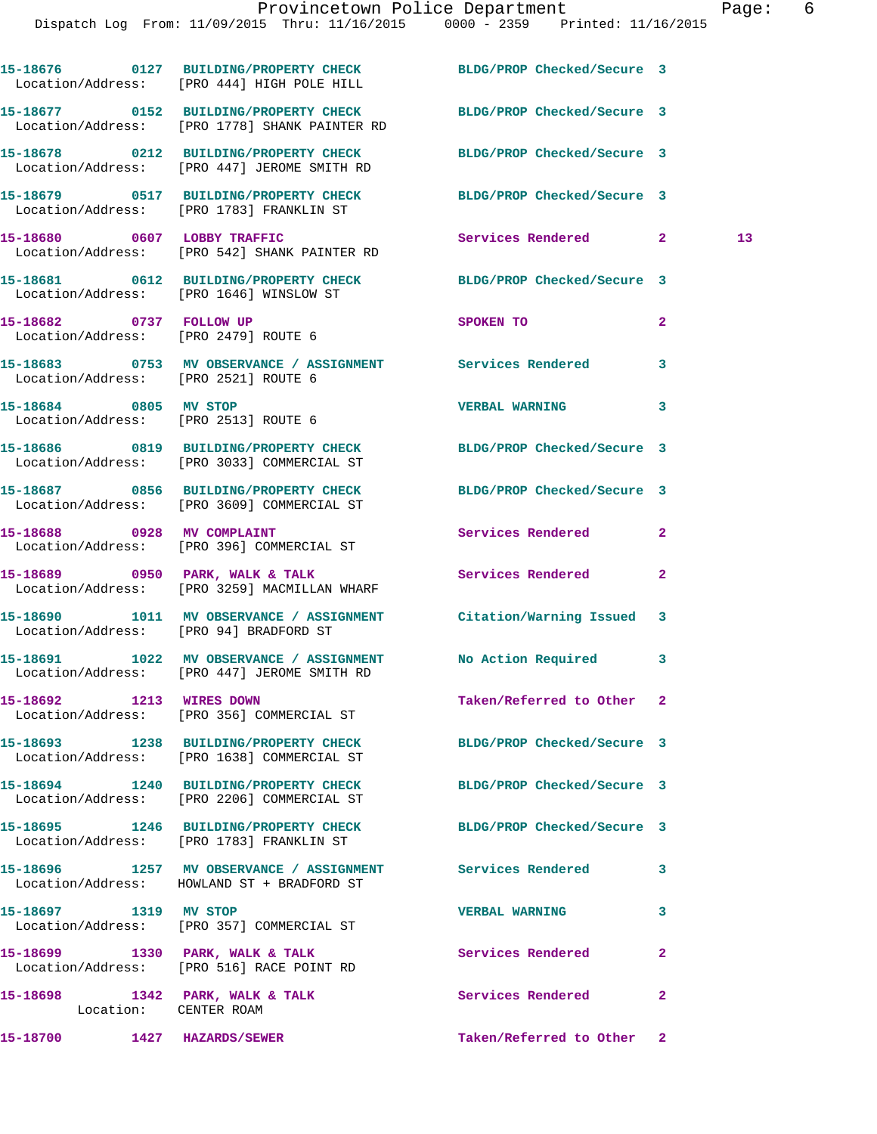|                                         | Provincetown Police Department                                                 |                            | Page: | 6 |
|-----------------------------------------|--------------------------------------------------------------------------------|----------------------------|-------|---|
|                                         | Dispatch Log From: 11/09/2015 Thru: 11/16/2015 0000 - 2359 Printed: 11/16/2015 |                            |       |   |
|                                         |                                                                                |                            |       |   |
|                                         | 15-18676 0127 BUILDING/PROPERTY CHECK BLDG/PROP Checked/Secure 3               |                            |       |   |
|                                         | Location/Address: [PRO 444] HIGH POLE HILL                                     |                            |       |   |
|                                         | 15-18677      0152  BUILDING/PROPERTY CHECK       BLDG/PROP Checked/Secure 3   |                            |       |   |
|                                         | Location/Address: [PRO 1778] SHANK PAINTER RD                                  |                            |       |   |
|                                         |                                                                                | BLDG/PROP Checked/Secure 3 |       |   |
|                                         | Location/Address: [PRO 447] JEROME SMITH RD                                    |                            |       |   |
|                                         |                                                                                | BLDG/PROP Checked/Secure 3 |       |   |
|                                         | Location/Address: [PRO 1783] FRANKLIN ST                                       |                            |       |   |
|                                         |                                                                                | Services Rendered 2        | 13    |   |
|                                         | Location/Address: [PRO 542] SHANK PAINTER RD                                   |                            |       |   |
|                                         |                                                                                | BLDG/PROP Checked/Secure 3 |       |   |
| Location/Address: [PRO 1646] WINSLOW ST |                                                                                |                            |       |   |

Location/Address: [PRO 2479] ROUTE 6

Location/Address: [PRO 2521] ROUTE 6

Location/Address: [PRO 2513] ROUTE 6

Location/Address: [PRO 3033] COMMERCIAL ST

Location/Address: [PRO 3609] COMMERCIAL ST

Location/Address: [PRO 396] COMMERCIAL ST

Location/Address: [PRO 3259] MACMILLAN WHARF

Location/Address: [PRO 94] BRADFORD ST

Location/Address: [PRO 447] JEROME SMITH RD

Location/Address: [PRO 356] COMMERCIAL ST

Location/Address: [PRO 1638] COMMERCIAL ST

Location/Address: [PRO 2206] COMMERCIAL ST

**15-18695 1246 BUILDING/PROPERTY CHECK BLDG/PROP Checked/Secure 3**  Location/Address: [PRO 1783] FRANKLIN ST

Location/Address: HOWLAND ST + BRADFORD ST

**15-18697 1319 MV STOP VERBAL WARNING 3**  Location/Address: [PRO 357] COMMERCIAL ST

15-18699 1330 PARK, WALK & TALK **Services Rendered** 2 Location/Address: [PRO 516] RACE POINT RD

Location: CENTER ROAM

**15-18700 1427 HAZARDS/SEWER Taken/Referred to Other 2** 

**15-18682 0737 FOLLOW UP SPOKEN TO 2 15-18683 0753 MV OBSERVANCE / ASSIGNMENT Services Rendered 3 15-18684 0805 MV STOP VERBAL WARNING 3 15-18686 0819 BUILDING/PROPERTY CHECK BLDG/PROP Checked/Secure 3 15-18687 0856 BUILDING/PROPERTY CHECK BLDG/PROP Checked/Secure 3 15-18688 0928 MV COMPLAINT Services Rendered 2**  15-18689 **0950 PARK, WALK & TALK** Services Rendered 2 **15-18690 1011 MV OBSERVANCE / ASSIGNMENT Citation/Warning Issued 3 15-18691 1022 MV OBSERVANCE / ASSIGNMENT No Action Required 3 15-18692 1213 WIRES DOWN Taken/Referred to Other 2 15-18693 1238 BUILDING/PROPERTY CHECK BLDG/PROP Checked/Secure 3 15-18694 1240 BUILDING/PROPERTY CHECK BLDG/PROP Checked/Secure 3** 

**15-18696 1257 MV OBSERVANCE / ASSIGNMENT Services Rendered 3** 

15-18698 1342 PARK, WALK & TALK **Services Rendered** 2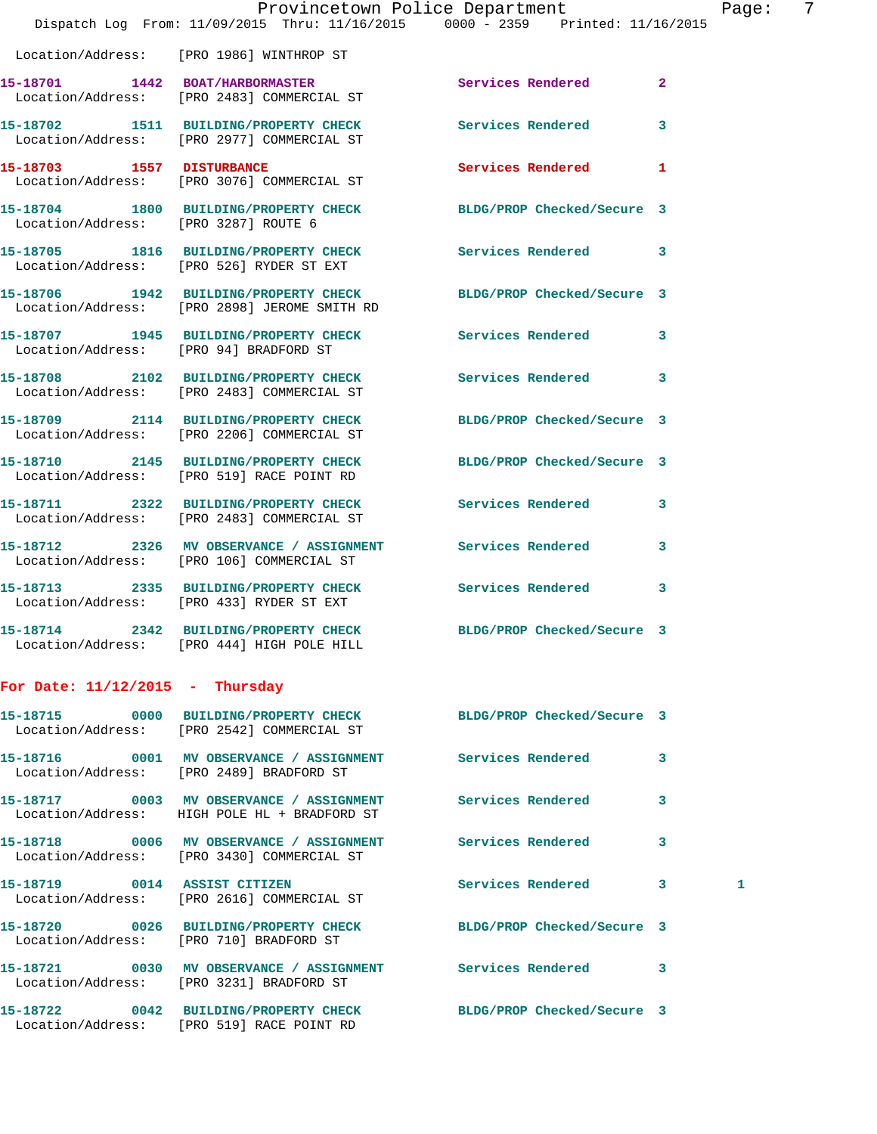|                                        | Provincetown Police Department                                                                      |                            |                |
|----------------------------------------|-----------------------------------------------------------------------------------------------------|----------------------------|----------------|
|                                        | Dispatch Log From: 11/09/2015 Thru: 11/16/2015 0000 - 2359 Printed: 11/16/2015                      |                            |                |
|                                        | Location/Address: [PRO 1986] WINTHROP ST                                                            |                            |                |
|                                        | 15-18701 1442 BOAT/HARBORMASTER<br>Location/Address: [PRO 2483] COMMERCIAL ST                       | <b>Services Rendered</b>   | $\overline{2}$ |
|                                        | 15-18702 1511 BUILDING/PROPERTY CHECK<br>Location/Address: [PRO 2977] COMMERCIAL ST                 | <b>Services Rendered</b>   | 3              |
| 15-18703 1557 DISTURBANCE              | Location/Address: [PRO 3076] COMMERCIAL ST                                                          | <b>Services Rendered</b>   | 1              |
| Location/Address: [PRO 3287] ROUTE 6   | 15-18704 1800 BUILDING/PROPERTY CHECK                                                               | BLDG/PROP Checked/Secure 3 |                |
|                                        | 15-18705 1816 BUILDING/PROPERTY CHECK Services Rendered<br>Location/Address: [PRO 526] RYDER ST EXT |                            | 3              |
|                                        | 15-18706 1942 BUILDING/PROPERTY CHECK<br>Location/Address: [PRO 2898] JEROME SMITH RD               | BLDG/PROP Checked/Secure 3 |                |
| Location/Address: [PRO 94] BRADFORD ST | 15-18707 1945 BUILDING/PROPERTY CHECK                                                               | <b>Services Rendered</b>   | 3              |
|                                        | 15-18708 2102 BUILDING/PROPERTY CHECK<br>Location/Address: [PRO 2483] COMMERCIAL ST                 | Services Rendered          | 3              |
|                                        | 15-18709 2114 BUILDING/PROPERTY CHECK<br>Location/Address: [PRO 2206] COMMERCIAL ST                 | BLDG/PROP Checked/Secure 3 |                |
|                                        | 15-18710 2145 BUILDING/PROPERTY CHECK<br>Location/Address: [PRO 519] RACE POINT RD                  | BLDG/PROP Checked/Secure 3 |                |
|                                        | 15-18711 2322 BUILDING/PROPERTY CHECK<br>Location/Address: [PRO 2483] COMMERCIAL ST                 | Services Rendered          | 3              |
|                                        | 15-18712 2326 MV OBSERVANCE / ASSIGNMENT<br>Location/Address: [PRO 106] COMMERCIAL ST               | <b>Services Rendered</b>   | 3              |
|                                        | 15-18713 2335 BUILDING/PROPERTY CHECK<br>Location/Address: [PRO 433] RYDER ST EXT                   | Services Rendered          | 3              |
|                                        | 15-18714 2342 BUILDING/PROPERTY CHECK<br>Location/Address: [PRO 444] HIGH POLE HILL                 | BLDG/PROP Checked/Secure 3 |                |
| For Date: $11/12/2015$ - Thursday      |                                                                                                     |                            |                |
| 15-18715                               | 0000 BUILDING/PROPERTY CHECK<br>Location/Address: [PRO 2542] COMMERCIAL ST                          | BLDG/PROP Checked/Secure 3 |                |
|                                        |                                                                                                     |                            |                |

**15-18716 0001 MV OBSERVANCE / ASSIGNMENT Services Rendered 3**  Location/Address: [PRO 2489] BRADFORD ST **15-18717 0003 MV OBSERVANCE / ASSIGNMENT Services Rendered 3**  Location/Address: HIGH POLE HL + BRADFORD ST **15-18718 0006 MV OBSERVANCE / ASSIGNMENT Services Rendered 3**  Location/Address: [PRO 3430] COMMERCIAL ST **15-18719 0014 ASSIST CITIZEN Services Rendered 3 1**  Location/Address: [PRO 2616] COMMERCIAL ST **15-18720 0026 BUILDING/PROPERTY CHECK BLDG/PROP Checked/Secure 3**  Location/Address: [PRO 710] BRADFORD ST **15-18721 0030 MV OBSERVANCE / ASSIGNMENT Services Rendered 3**  Location/Address: [PRO 3231] BRADFORD ST **15-18722 0042 BUILDING/PROPERTY CHECK BLDG/PROP Checked/Secure 3**  Location/Address: [PRO 519] RACE POINT RD

Page: 7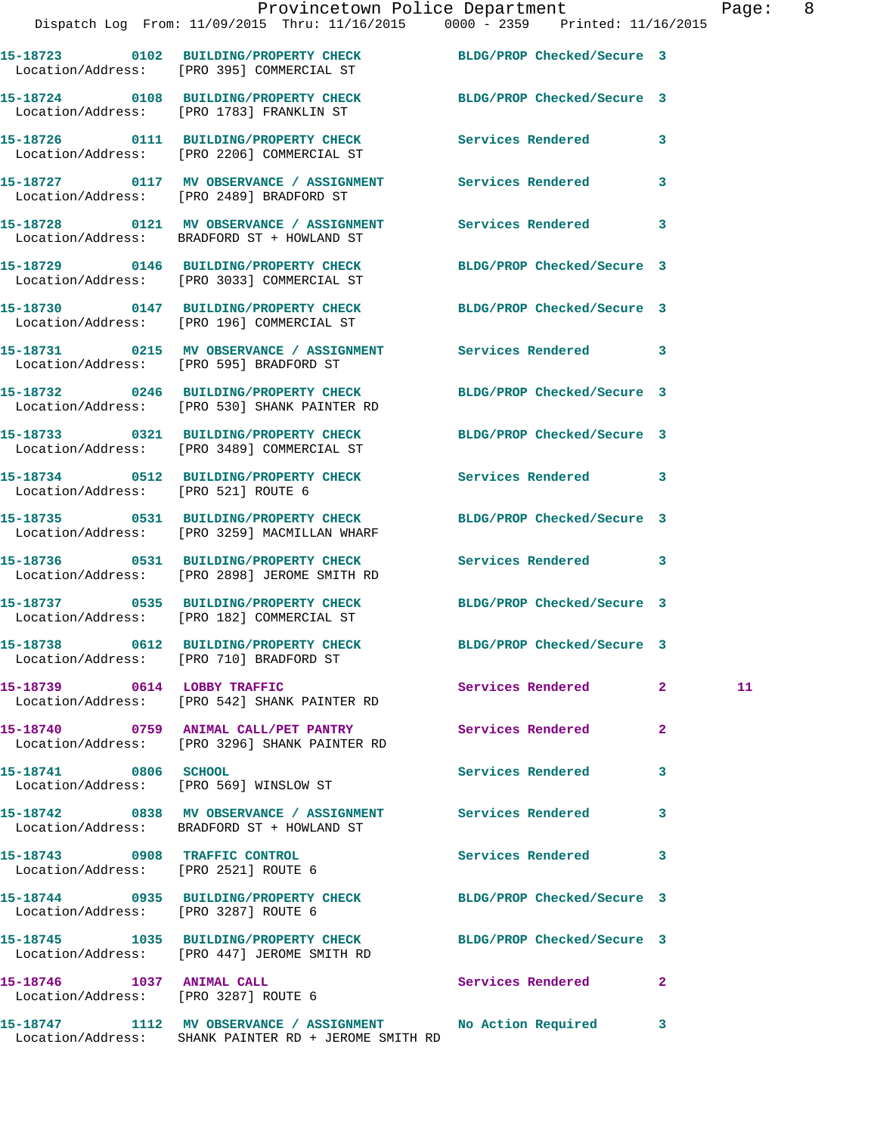|                                                                       | Provincetown Police Department Fage: 8<br>Dispatch Log From: 11/09/2015 Thru: 11/16/2015 0000 - 2359 Printed: 11/16/2015 |                            |              |    |  |
|-----------------------------------------------------------------------|--------------------------------------------------------------------------------------------------------------------------|----------------------------|--------------|----|--|
|                                                                       | 15-18723 0102 BUILDING/PROPERTY CHECK BLDG/PROP Checked/Secure 3<br>Location/Address: [PRO 395] COMMERCIAL ST            |                            |              |    |  |
|                                                                       | 15-18724 0108 BUILDING/PROPERTY CHECK BLDG/PROP Checked/Secure 3<br>Location/Address: [PRO 1783] FRANKLIN ST             |                            |              |    |  |
|                                                                       | 15-18726 0111 BUILDING/PROPERTY CHECK Services Rendered 3<br>Location/Address: [PRO 2206] COMMERCIAL ST                  |                            |              |    |  |
|                                                                       | 15-18727 0117 MV OBSERVANCE / ASSIGNMENT Services Rendered 3<br>Location/Address: [PRO 2489] BRADFORD ST                 |                            |              |    |  |
|                                                                       | 15-18728 0121 MV OBSERVANCE / ASSIGNMENT Services Rendered 3<br>Location/Address: BRADFORD ST + HOWLAND ST               |                            |              |    |  |
|                                                                       | 15-18729 0146 BUILDING/PROPERTY CHECK BLDG/PROP Checked/Secure 3<br>Location/Address: [PRO 3033] COMMERCIAL ST           |                            |              |    |  |
|                                                                       | 15-18730 0147 BUILDING/PROPERTY CHECK BLDG/PROP Checked/Secure 3<br>Location/Address: [PRO 196] COMMERCIAL ST            |                            |              |    |  |
|                                                                       | 15-18731 0215 MV OBSERVANCE / ASSIGNMENT Services Rendered 3<br>Location/Address: [PRO 595] BRADFORD ST                  |                            |              |    |  |
|                                                                       | 15-18732 0246 BUILDING/PROPERTY CHECK BLDG/PROP Checked/Secure 3<br>Location/Address: [PRO 530] SHANK PAINTER RD         |                            |              |    |  |
|                                                                       | 15-18733 0321 BUILDING/PROPERTY CHECK BLDG/PROP Checked/Secure 3<br>Location/Address: [PRO 3489] COMMERCIAL ST           |                            |              |    |  |
| Location/Address: [PRO 521] ROUTE 6                                   | 15-18734 0512 BUILDING/PROPERTY CHECK Services Rendered 3                                                                |                            |              |    |  |
|                                                                       | 15-18735 0531 BUILDING/PROPERTY CHECK BLDG/PROP Checked/Secure 3<br>Location/Address: [PRO 3259] MACMILLAN WHARF         |                            |              |    |  |
|                                                                       | 15-18736 0531 BUILDING/PROPERTY CHECK Services Rendered 3<br>Location/Address: [PRO 2898] JEROME SMITH RD                |                            |              |    |  |
|                                                                       | 15-18737 0535 BUILDING/PROPERTY CHECK BLDG/PROP Checked/Secure 3<br>Location/Address: [PRO 182] COMMERCIAL ST            |                            |              |    |  |
|                                                                       | 15-18738 0612 BUILDING/PROPERTY CHECK<br>Location/Address: [PRO 710] BRADFORD ST                                         | BLDG/PROP Checked/Secure 3 |              |    |  |
| 15-18739 0614 LOBBY TRAFFIC                                           | Location/Address: [PRO 542] SHANK PAINTER RD                                                                             | Services Rendered 2        |              | 11 |  |
|                                                                       | 15-18740 0759 ANIMAL CALL/PET PANTRY<br>Location/Address: [PRO 3296] SHANK PAINTER RD                                    | Services Rendered          | $\mathbf{2}$ |    |  |
| 15-18741 0806 SCHOOL                                                  | Location/Address: [PRO 569] WINSLOW ST                                                                                   | <b>Services Rendered</b>   | 3            |    |  |
|                                                                       | 15-18742 0838 MV OBSERVANCE / ASSIGNMENT Services Rendered<br>Location/Address: BRADFORD ST + HOWLAND ST                 |                            | 3            |    |  |
| 15-18743 0908 TRAFFIC CONTROL<br>Location/Address: [PRO 2521] ROUTE 6 |                                                                                                                          | Services Rendered          | 3            |    |  |
| Location/Address: [PRO 3287] ROUTE 6                                  | 15-18744 0935 BUILDING/PROPERTY CHECK BLDG/PROP Checked/Secure 3                                                         |                            |              |    |  |
|                                                                       |                                                                                                                          |                            |              |    |  |

**15-18745 1035 BUILDING/PROPERTY CHECK BLDG/PROP Checked/Secure 3**  Location/Address: [PRO 447] JEROME SMITH RD

Location/Address: [PRO 3287] ROUTE 6

Location/Address: SHANK PAINTER RD + JEROME SMITH RD

**15-18746 1037 ANIMAL CALL Services Rendered 2** 

**15-18747 1112 MV OBSERVANCE / ASSIGNMENT No Action Required 3**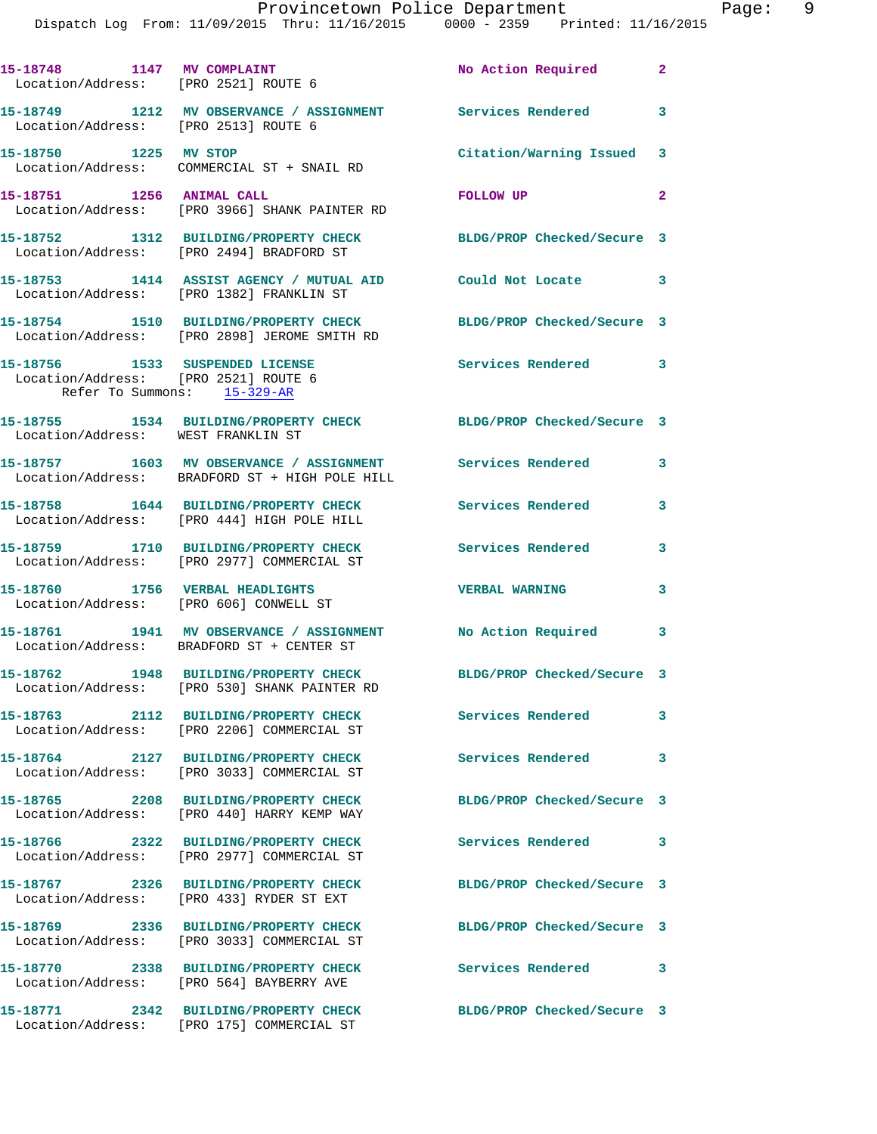|                                                                     | 15-18748 1147 MV COMPLAINT<br>Location/Address: [PRO 2521] ROUTE 6                                               | No Action Required         | $\mathbf{2}$            |
|---------------------------------------------------------------------|------------------------------------------------------------------------------------------------------------------|----------------------------|-------------------------|
|                                                                     | 15-18749 1212 MV OBSERVANCE / ASSIGNMENT Services Rendered 3<br>Location/Address: [PRO 2513] ROUTE 6             |                            |                         |
| 15-18750 1225 MV STOP                                               | Location/Address: COMMERCIAL ST + SNAIL RD                                                                       | Citation/Warning Issued 3  |                         |
| 15-18751 1256 ANIMAL CALL                                           | Location/Address: [PRO 3966] SHANK PAINTER RD                                                                    | FOLLOW UP                  | $\mathbf{2}$            |
|                                                                     | 15-18752 1312 BUILDING/PROPERTY CHECK<br>Location/Address: [PRO 2494] BRADFORD ST                                | BLDG/PROP Checked/Secure 3 |                         |
|                                                                     | 15-18753 1414 ASSIST AGENCY / MUTUAL AID<br>Location/Address: [PRO 1382] FRANKLIN ST                             | Could Not Locate 3         |                         |
|                                                                     | 15-18754 1510 BUILDING/PROPERTY CHECK BLDG/PROP Checked/Secure 3<br>Location/Address: [PRO 2898] JEROME SMITH RD |                            |                         |
| Location/Address: [PRO 2521] ROUTE 6<br>Refer To Summons: 15-329-AR | 15-18756 1533 SUSPENDED LICENSE                                                                                  | Services Rendered 3        |                         |
| Location/Address: WEST FRANKLIN ST                                  | 15-18755 1534 BUILDING/PROPERTY CHECK BLDG/PROP Checked/Secure 3                                                 |                            |                         |
|                                                                     |                                                                                                                  |                            | $\mathbf{3}$            |
|                                                                     | 15-18758 1644 BUILDING/PROPERTY CHECK<br>Location/Address: [PRO 444] HIGH POLE HILL                              | Services Rendered          | $\mathbf{3}$            |
|                                                                     | 15-18759 1710 BUILDING/PROPERTY CHECK<br>Location/Address: [PRO 2977] COMMERCIAL ST                              | <b>Services Rendered</b>   | $\mathbf{3}$            |
| 15-18760 1756 VERBAL HEADLIGHTS                                     | Location/Address: [PRO 606] CONWELL ST                                                                           | <b>VERBAL WARNING</b>      | $\overline{\mathbf{3}}$ |
|                                                                     | 15-18761 1941 MV OBSERVANCE / ASSIGNMENT No Action Required 3<br>Location/Address: BRADFORD ST + CENTER ST       |                            |                         |
|                                                                     | 15-18762 1948 BUILDING/PROPERTY CHECK BLDG/PROP Checked/Secure 3<br>Location/Address: [PRO 530] SHANK PAINTER RD |                            |                         |
|                                                                     | 15-18763 2112 BUILDING/PROPERTY CHECK<br>Location/Address: [PRO 2206] COMMERCIAL ST                              | Services Rendered          | 3                       |
|                                                                     | 15-18764 2127 BUILDING/PROPERTY CHECK<br>Location/Address: [PRO 3033] COMMERCIAL ST                              | Services Rendered 3        |                         |
|                                                                     | 15-18765 2208 BUILDING/PROPERTY CHECK<br>Location/Address: [PRO 440] HARRY KEMP WAY                              | BLDG/PROP Checked/Secure 3 |                         |
|                                                                     | 15-18766 2322 BUILDING/PROPERTY CHECK<br>Location/Address: [PRO 2977] COMMERCIAL ST                              | Services Rendered 3        |                         |
|                                                                     | 15-18767 2326 BUILDING/PROPERTY CHECK<br>Location/Address: [PRO 433] RYDER ST EXT                                | BLDG/PROP Checked/Secure 3 |                         |
|                                                                     | 15-18769 2336 BUILDING/PROPERTY CHECK<br>Location/Address: [PRO 3033] COMMERCIAL ST                              | BLDG/PROP Checked/Secure 3 |                         |
|                                                                     | 15-18770 2338 BUILDING/PROPERTY CHECK<br>Location/Address: [PRO 564] BAYBERRY AVE                                | <b>Services Rendered</b>   | $\mathbf{3}$            |
|                                                                     | 15-18771 2342 BUILDING/PROPERTY CHECK<br>Location/Address: [PRO 175] COMMERCIAL ST                               | BLDG/PROP Checked/Secure 3 |                         |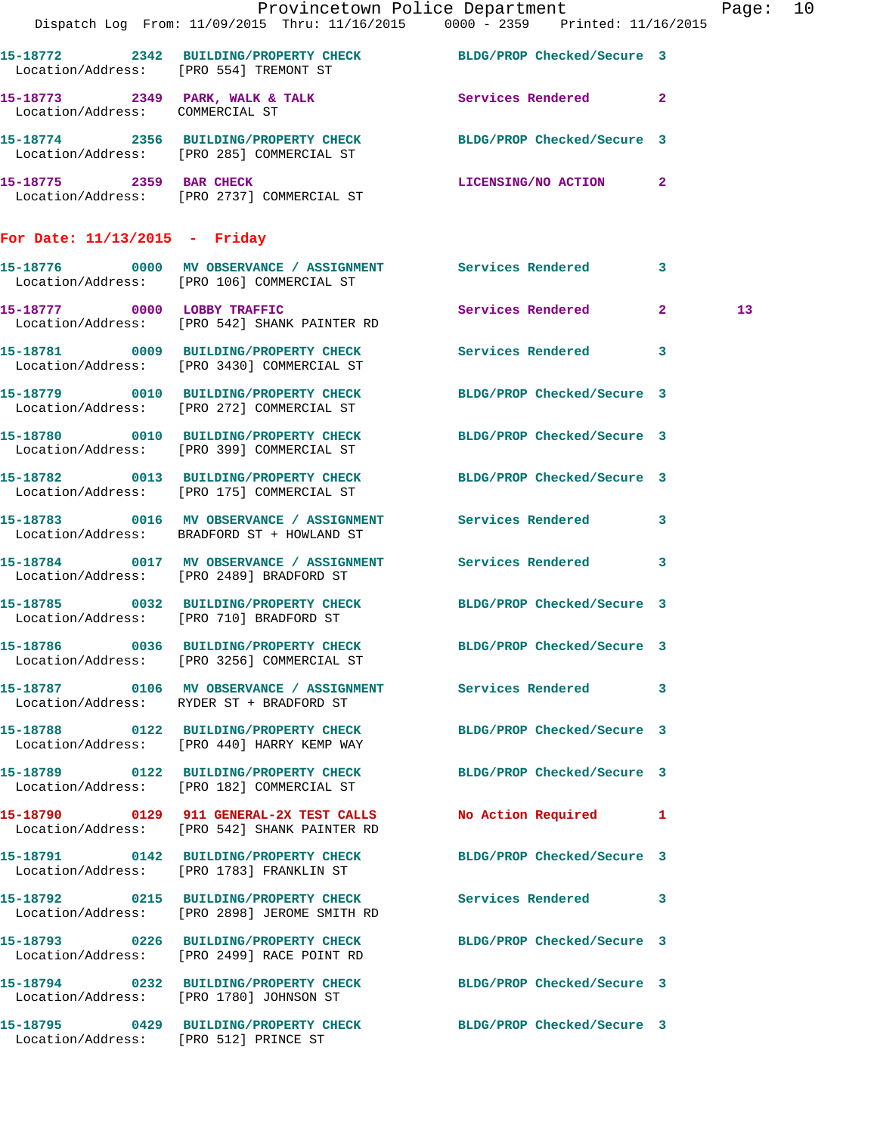|                                       |                                                                                         | Provincetown Police Department<br>Dispatch Log From: 11/09/2015 Thru: 11/16/2015 0000 - 2359 Printed: 11/16/2015 | Page: 10        |  |
|---------------------------------------|-----------------------------------------------------------------------------------------|------------------------------------------------------------------------------------------------------------------|-----------------|--|
|                                       | Location/Address: [PRO 554] TREMONT ST                                                  | 15-18772 2342 BUILDING/PROPERTY CHECK BLDG/PROP Checked/Secure 3                                                 |                 |  |
| Location/Address: COMMERCIAL ST       |                                                                                         | 15-18773 2349 PARK, WALK & TALK 2 Services Rendered 2                                                            |                 |  |
|                                       |                                                                                         | 15-18774 2356 BUILDING/PROPERTY CHECK BLDG/PROP Checked/Secure 3<br>Location/Address: [PRO 285] COMMERCIAL ST    |                 |  |
|                                       | 15-18775 2359 BAR CHECK<br>Location/Address: [PRO 2737] COMMERCIAL ST                   | LICENSING/NO ACTION 2                                                                                            |                 |  |
| For Date: $11/13/2015$ - Friday       |                                                                                         |                                                                                                                  |                 |  |
|                                       | Location/Address: [PRO 106] COMMERCIAL ST                                               | 15-18776 0000 MV OBSERVANCE / ASSIGNMENT Services Rendered 3                                                     |                 |  |
|                                       | 15-18777 0000 LOBBY TRAFFIC<br>Location/Address: [PRO 542] SHANK PAINTER RD             | Services Rendered 2                                                                                              | 13 <sup>°</sup> |  |
|                                       | Location/Address: [PRO 3430] COMMERCIAL ST                                              | 15-18781 0009 BUILDING/PROPERTY CHECK Services Rendered 3                                                        |                 |  |
|                                       | Location/Address: [PRO 272] COMMERCIAL ST                                               | 15-18779 0010 BUILDING/PROPERTY CHECK BLDG/PROP Checked/Secure 3                                                 |                 |  |
|                                       | Location/Address: [PRO 399] COMMERCIAL ST                                               | 15-18780 0010 BUILDING/PROPERTY CHECK BLDG/PROP Checked/Secure 3                                                 |                 |  |
|                                       | Location/Address: [PRO 175] COMMERCIAL ST                                               | 15-18782 0013 BUILDING/PROPERTY CHECK BLDG/PROP Checked/Secure 3                                                 |                 |  |
|                                       | Location/Address: BRADFORD ST + HOWLAND ST                                              | 15-18783 0016 MV OBSERVANCE / ASSIGNMENT Services Rendered 3                                                     |                 |  |
|                                       | Location/Address: [PRO 2489] BRADFORD ST                                                | 15-18784 0017 MV OBSERVANCE / ASSIGNMENT Services Rendered 3                                                     |                 |  |
|                                       | Location/Address: [PRO 710] BRADFORD ST                                                 | 15-18785 0032 BUILDING/PROPERTY CHECK BLDG/PROP Checked/Secure 3                                                 |                 |  |
|                                       | 15-18786 0036 BUILDING/PROPERTY CHECK<br>Location/Address: [PRO 3256] COMMERCIAL ST     | BLDG/PROP Checked/Secure 3                                                                                       |                 |  |
|                                       | Location/Address: RYDER ST + BRADFORD ST                                                | 15-18787 0106 MV OBSERVANCE / ASSIGNMENT Services Rendered 3                                                     |                 |  |
|                                       | Location/Address: [PRO 440] HARRY KEMP WAY                                              | 15-18788 0122 BUILDING/PROPERTY CHECK BLDG/PROP Checked/Secure 3                                                 |                 |  |
|                                       | Location/Address: [PRO 182] COMMERCIAL ST                                               | 15-18789 0122 BUILDING/PROPERTY CHECK BLDG/PROP Checked/Secure 3                                                 |                 |  |
|                                       | 15-18790 0129 911 GENERAL-2X TEST CALLS<br>Location/Address: [PRO 542] SHANK PAINTER RD | No Action Required 1                                                                                             |                 |  |
|                                       | Location/Address: [PRO 1783] FRANKLIN ST                                                | 15-18791 0142 BUILDING/PROPERTY CHECK BLDG/PROP Checked/Secure 3                                                 |                 |  |
|                                       | Location/Address: [PRO 2898] JEROME SMITH RD                                            | 15-18792 0215 BUILDING/PROPERTY CHECK Services Rendered 3                                                        |                 |  |
|                                       | Location/Address: [PRO 2499] RACE POINT RD                                              | 15-18793 0226 BUILDING/PROPERTY CHECK BLDG/PROP Checked/Secure 3                                                 |                 |  |
|                                       | Location/Address: [PRO 1780] JOHNSON ST                                                 | 15-18794 0232 BUILDING/PROPERTY CHECK BLDG/PROP Checked/Secure 3                                                 |                 |  |
| Location/Address: [PRO 512] PRINCE ST |                                                                                         | 15-18795 0429 BUILDING/PROPERTY CHECK BLDG/PROP Checked/Secure 3                                                 |                 |  |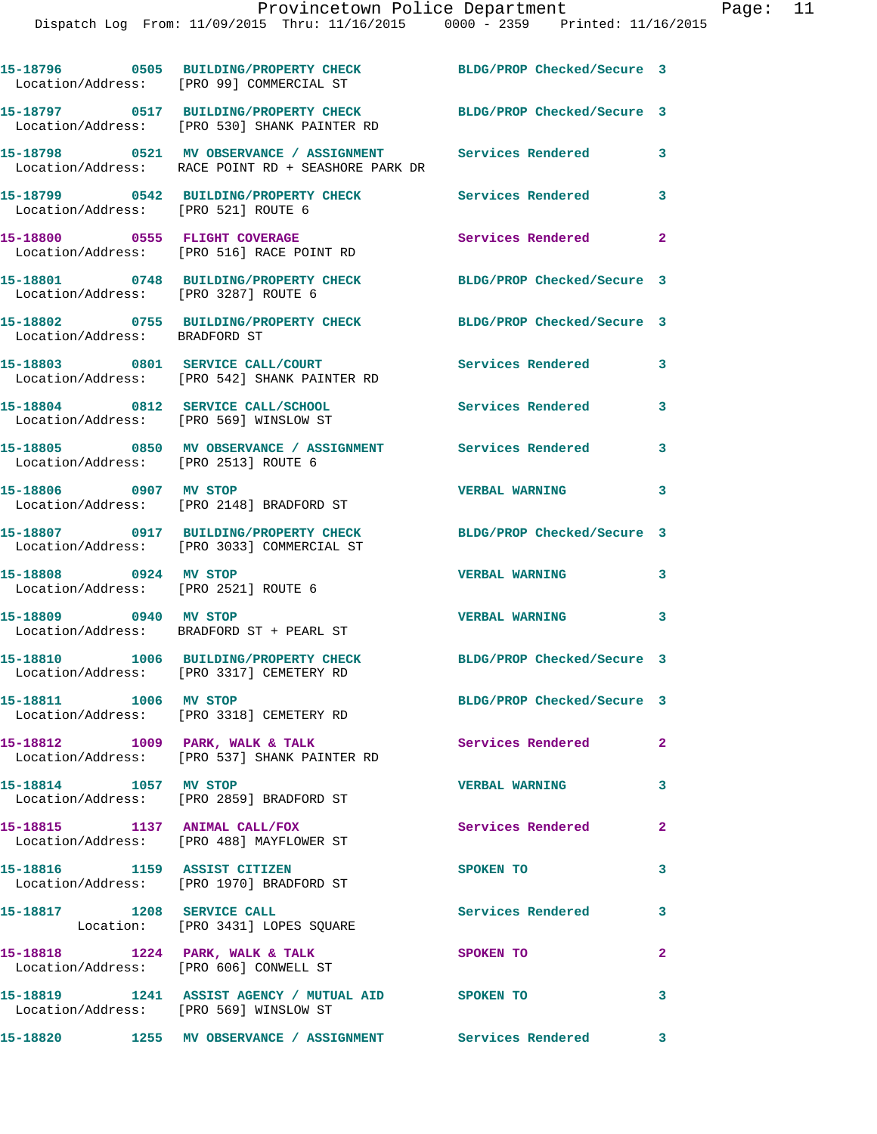|                                                               | 15-18796 0505 BUILDING/PROPERTY CHECK<br>Location/Address: [PRO 99] COMMERCIAL ST              | BLDG/PROP Checked/Secure 3 |                         |
|---------------------------------------------------------------|------------------------------------------------------------------------------------------------|----------------------------|-------------------------|
|                                                               | 15-18797 0517 BUILDING/PROPERTY CHECK<br>Location/Address: [PRO 530] SHANK PAINTER RD          | BLDG/PROP Checked/Secure 3 |                         |
|                                                               | 15-18798 0521 MV OBSERVANCE / ASSIGNMENT<br>Location/Address: RACE POINT RD + SEASHORE PARK DR | <b>Services Rendered</b>   | 3                       |
| Location/Address: [PRO 521] ROUTE 6                           | 15-18799 0542 BUILDING/PROPERTY CHECK                                                          | <b>Services Rendered</b>   | 3                       |
|                                                               | 15-18800 0555 FLIGHT COVERAGE<br>Location/Address: [PRO 516] RACE POINT RD                     | Services Rendered          | $\mathbf{2}$            |
| Location/Address: [PRO 3287] ROUTE 6                          | 15-18801 0748 BUILDING/PROPERTY CHECK                                                          | BLDG/PROP Checked/Secure 3 |                         |
| Location/Address: BRADFORD ST                                 | 15-18802 0755 BUILDING/PROPERTY CHECK                                                          | BLDG/PROP Checked/Secure 3 |                         |
|                                                               | 15-18803 0801 SERVICE CALL/COURT<br>Location/Address: [PRO 542] SHANK PAINTER RD               | Services Rendered          | 3                       |
| Location/Address: [PRO 569] WINSLOW ST                        | 15-18804 0812 SERVICE CALL/SCHOOL                                                              | <b>Services Rendered</b>   | 3                       |
| Location/Address: [PRO 2513] ROUTE 6                          | 15-18805 0850 MV OBSERVANCE / ASSIGNMENT Services Rendered                                     |                            | 3                       |
| 15-18806 0907 MV STOP                                         | Location/Address: [PRO 2148] BRADFORD ST                                                       | <b>VERBAL WARNING</b>      | 3                       |
|                                                               | 15-18807 0917 BUILDING/PROPERTY CHECK<br>Location/Address: [PRO 3033] COMMERCIAL ST            | BLDG/PROP Checked/Secure 3 |                         |
| 15-18808 0924 MV STOP<br>Location/Address: [PRO 2521] ROUTE 6 |                                                                                                | <b>VERBAL WARNING</b>      | 3                       |
| 15-18809 0940 MV STOP                                         | Location/Address: BRADFORD ST + PEARL ST                                                       | <b>VERBAL WARNING</b>      | 3                       |
|                                                               | 15-18810 1006 BUILDING/PROPERTY CHECK<br>Location/Address: [PRO 3317] CEMETERY RD              | BLDG/PROP Checked/Secure 3 |                         |
| 15-18811 1006 MV STOP                                         | Location/Address: [PRO 3318] CEMETERY RD                                                       | BLDG/PROP Checked/Secure 3 |                         |
|                                                               | 15-18812 1009 PARK, WALK & TALK<br>Location/Address: [PRO 537] SHANK PAINTER RD                | Services Rendered 2        |                         |
| 15-18814 1057 MV STOP                                         | Location/Address: [PRO 2859] BRADFORD ST                                                       | <b>VERBAL WARNING</b>      | $\overline{\mathbf{3}}$ |
|                                                               | 15-18815 1137 ANIMAL CALL/FOX<br>Location/Address: [PRO 488] MAYFLOWER ST                      | Services Rendered          | $\mathbf{2}$            |
| 15-18816 1159 ASSIST CITIZEN                                  | Location/Address: [PRO 1970] BRADFORD ST                                                       | SPOKEN TO                  | 3                       |
|                                                               | 15-18817 1208 SERVICE CALL<br>Location: [PRO 3431] LOPES SQUARE                                | <b>Services Rendered</b>   | 3                       |
|                                                               | 15-18818 1224 PARK, WALK & TALK<br>Location/Address: [PRO 606] CONWELL ST                      | SPOKEN TO                  | $\mathbf{2}$            |
| Location/Address: [PRO 569] WINSLOW ST                        | 15-18819 1241 ASSIST AGENCY / MUTUAL AID SPOKEN TO                                             |                            | 3                       |
|                                                               |                                                                                                |                            |                         |

**15-18820 1255 MV OBSERVANCE / ASSIGNMENT Services Rendered 3**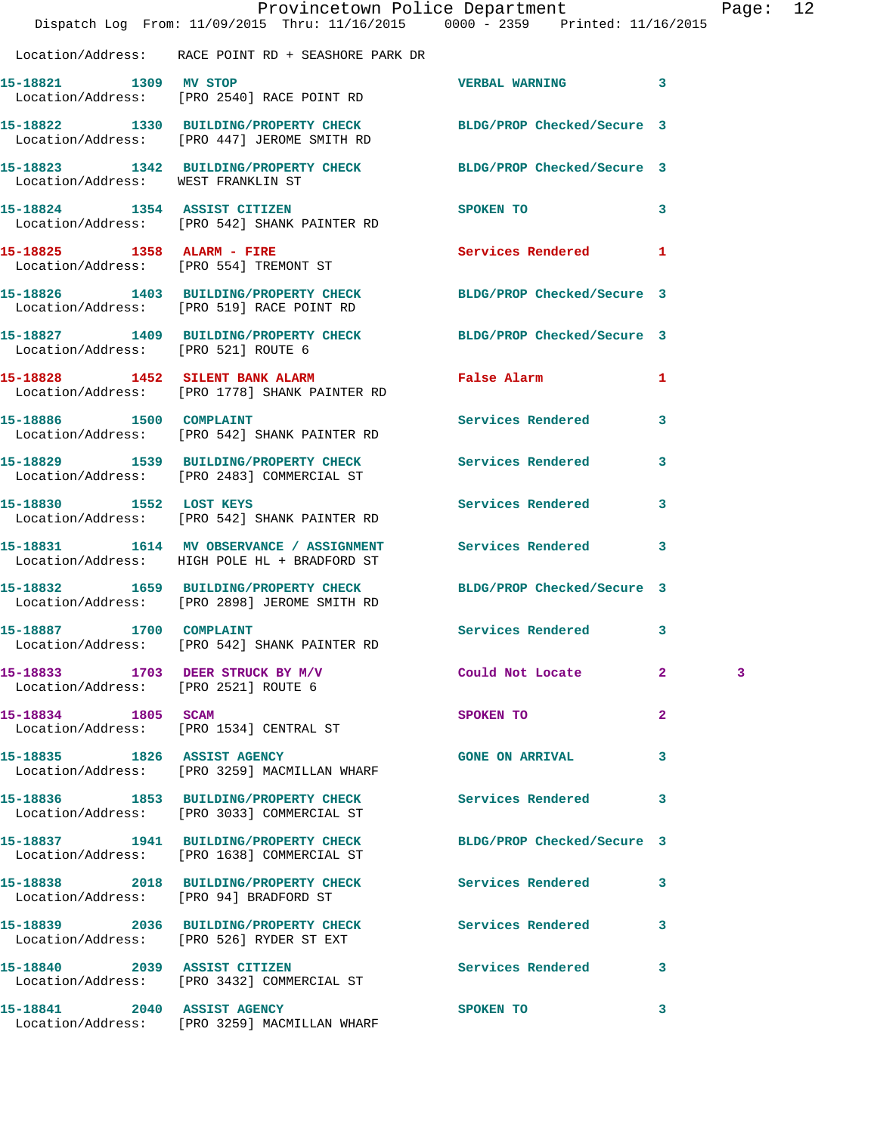|                                     | Dispatch Log From: 11/09/2015 Thru: 11/16/2015 0000 - 2359 Printed: 11/16/2015                                  | Provincetown Police Department                                                                                 |              | Page: 12 |  |
|-------------------------------------|-----------------------------------------------------------------------------------------------------------------|----------------------------------------------------------------------------------------------------------------|--------------|----------|--|
|                                     | Location/Address: RACE POINT RD + SEASHORE PARK DR                                                              |                                                                                                                |              |          |  |
| 15-18821 1309 MV STOP               | Location/Address: [PRO 2540] RACE POINT RD                                                                      | VERBAL WARNING 3                                                                                               |              |          |  |
|                                     | 15-18822 1330 BUILDING/PROPERTY CHECK BLDG/PROP Checked/Secure 3<br>Location/Address: [PRO 447] JEROME SMITH RD |                                                                                                                |              |          |  |
| Location/Address: WEST FRANKLIN ST  | 15-18823 1342 BUILDING/PROPERTY CHECK BLDG/PROP Checked/Secure 3                                                |                                                                                                                |              |          |  |
|                                     | 15-18824 1354 ASSIST CITIZEN<br>Location/Address: [PRO 542] SHANK PAINTER RD                                    | SPOKEN TO THE SPOKEN OF THE SPOKEN OF THE SPOKEN OF THE SPOKEN OF THE SPOKEN OF THE SPOKEN OF THE SPOKEN OF TH | $\mathbf{3}$ |          |  |
|                                     | 15-18825 1358 ALARM - FIRE<br>Location/Address: [PRO 554] TREMONT ST                                            | Services Rendered 1                                                                                            |              |          |  |
|                                     | 15-18826 1403 BUILDING/PROPERTY CHECK BLDG/PROP Checked/Secure 3<br>Location/Address: [PRO 519] RACE POINT RD   |                                                                                                                |              |          |  |
| Location/Address: [PRO 521] ROUTE 6 | 15-18827 1409 BUILDING/PROPERTY CHECK BLDG/PROP Checked/Secure 3                                                |                                                                                                                |              |          |  |
|                                     | 15-18828 1452 SILENT BANK ALARM<br>Location/Address: [PRO 1778] SHANK PAINTER RD                                | False Alarm                                                                                                    | 1            |          |  |
| 15-18886 1500 COMPLAINT             | Location/Address: [PRO 542] SHANK PAINTER RD                                                                    | Services Rendered                                                                                              | 3            |          |  |
|                                     | 15-18829 1539 BUILDING/PROPERTY CHECK Services Rendered<br>Location/Address: [PRO 2483] COMMERCIAL ST           |                                                                                                                | 3            |          |  |
| 15-18830 1552 LOST KEYS             | Location/Address: [PRO 542] SHANK PAINTER RD                                                                    | Services Rendered                                                                                              | $\mathbf{3}$ |          |  |
|                                     | 15-18831 1614 MV OBSERVANCE / ASSIGNMENT Services Rendered 3<br>Location/Address: HIGH POLE HL + BRADFORD ST    |                                                                                                                |              |          |  |
|                                     | 15-18832 1659 BUILDING/PROPERTY CHECK<br>Location/Address: [PRO 2898] JEROME SMITH RD                           | BLDG/PROP Checked/Secure 3                                                                                     |              |          |  |
| 15-18887 1700 COMPLAINT             | Location/Address: [PRO 542] SHANK PAINTER RD                                                                    | Services Rendered 3                                                                                            |              |          |  |
|                                     | 15-18833 1703 DEER STRUCK BY M/V Could Not Locate 2<br>Location/Address: [PRO 2521] ROUTE 6                     |                                                                                                                |              | 3        |  |
| 15-18834 1805 SCAM                  | Location/Address: [PRO 1534] CENTRAL ST                                                                         | SPOKEN TO AND TO A THE SPOKEN TO                                                                               | $\mathbf{2}$ |          |  |
|                                     | 15-18835 1826 ASSIST AGENCY<br>Location/Address: [PRO 3259] MACMILLAN WHARF                                     | <b>GONE ON ARRIVAL</b>                                                                                         | $\mathbf{3}$ |          |  |
|                                     | 15-18836 1853 BUILDING/PROPERTY CHECK<br>Location/Address: [PRO 3033] COMMERCIAL ST                             | Services Rendered 3                                                                                            |              |          |  |
|                                     | 15-18837 1941 BUILDING/PROPERTY CHECK BLDG/PROP Checked/Secure 3<br>Location/Address: [PRO 1638] COMMERCIAL ST  |                                                                                                                |              |          |  |
|                                     | 15-18838 2018 BUILDING/PROPERTY CHECK Services Rendered<br>Location/Address: [PRO 94] BRADFORD ST               |                                                                                                                | $\mathbf{3}$ |          |  |
|                                     | 15-18839 2036 BUILDING/PROPERTY CHECK Services Rendered 3<br>Location/Address: [PRO 526] RYDER ST EXT           |                                                                                                                |              |          |  |
|                                     | 15-18840 2039 ASSIST CITIZEN<br>Location/Address: [PRO 3432] COMMERCIAL ST                                      | Services Rendered 3                                                                                            |              |          |  |
| 15-18841 2040 ASSIST AGENCY         | Location/Address: [PRO 3259] MACMILLAN WHARF                                                                    | SPOKEN TO                                                                                                      | 3            |          |  |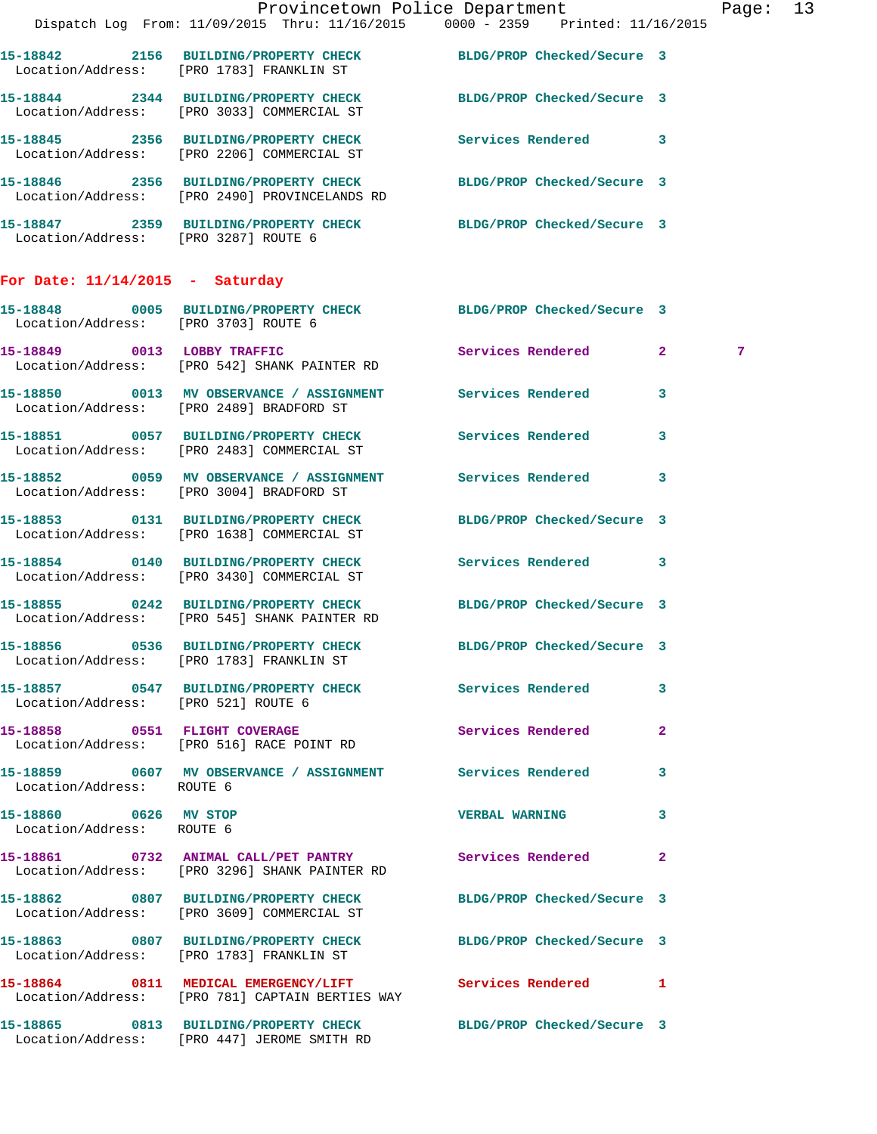| $\sim$                                             |                                                                                                                   | Provincetown Police Department<br>Dispatch Log From: 11/09/2015 Thru: 11/16/2015 0000 - 2359 Printed: 11/16/2015 | Page: 13 |  |
|----------------------------------------------------|-------------------------------------------------------------------------------------------------------------------|------------------------------------------------------------------------------------------------------------------|----------|--|
|                                                    | 15-18842 2156 BUILDING/PROPERTY CHECK BLDG/PROP Checked/Secure 3<br>Location/Address: [PRO 1783] FRANKLIN ST      |                                                                                                                  |          |  |
|                                                    | 15-18844 2344 BUILDING/PROPERTY CHECK<br>Location/Address: [PRO 3033] COMMERCIAL ST                               | BLDG/PROP Checked/Secure 3                                                                                       |          |  |
|                                                    | 15-18845 2356 BUILDING/PROPERTY CHECK Services Rendered 3<br>Location/Address: [PRO 2206] COMMERCIAL ST           |                                                                                                                  |          |  |
|                                                    | 15-18846 2356 BUILDING/PROPERTY CHECK BLDG/PROP Checked/Secure 3<br>Location/Address: [PRO 2490] PROVINCELANDS RD |                                                                                                                  |          |  |
| Location/Address: [PRO 3287] ROUTE 6               | 15-18847 2359 BUILDING/PROPERTY CHECK BLDG/PROP Checked/Secure 3                                                  |                                                                                                                  |          |  |
| For Date: $11/14/2015$ - Saturday                  |                                                                                                                   |                                                                                                                  |          |  |
| Location/Address: [PRO 3703] ROUTE 6               | 15-18848 0005 BUILDING/PROPERTY CHECK BLDG/PROP Checked/Secure 3                                                  |                                                                                                                  |          |  |
|                                                    | 15-18849 0013 LOBBY TRAFFIC<br>Location/Address: [PRO 542] SHANK PAINTER RD                                       | Services Rendered 2                                                                                              | 7        |  |
|                                                    | 15-18850 0013 MV OBSERVANCE / ASSIGNMENT Services Rendered<br>Location/Address: [PRO 2489] BRADFORD ST            | $\mathbf{3}$                                                                                                     |          |  |
|                                                    | 15-18851 0057 BUILDING/PROPERTY CHECK<br>Location/Address: [PRO 2483] COMMERCIAL ST                               | Services Rendered<br>$\mathbf{3}$                                                                                |          |  |
|                                                    | 15-18852 0059 MV OBSERVANCE / ASSIGNMENT<br>Location/Address: [PRO 3004] BRADFORD ST                              | Services Rendered 3                                                                                              |          |  |
|                                                    | 15-18853 0131 BUILDING/PROPERTY CHECK<br>Location/Address: [PRO 1638] COMMERCIAL ST                               | BLDG/PROP Checked/Secure 3                                                                                       |          |  |
|                                                    | 15-18854 0140 BUILDING/PROPERTY CHECK Services Rendered 3<br>Location/Address: [PRO 3430] COMMERCIAL ST           |                                                                                                                  |          |  |
|                                                    | 15-18855 0242 BUILDING/PROPERTY CHECK<br>Location/Address: [PRO 545] SHANK PAINTER RD                             | BLDG/PROP Checked/Secure 3                                                                                       |          |  |
|                                                    | 15-18856 0536 BUILDING/PROPERTY CHECK<br>Location/Address: [PRO 1783] FRANKLIN ST                                 | BLDG/PROP Checked/Secure 3                                                                                       |          |  |
| Location/Address: [PRO 521] ROUTE 6                | 15-18857 0547 BUILDING/PROPERTY CHECK Services Rendered 3                                                         |                                                                                                                  |          |  |
|                                                    | 15-18858 0551 FLIGHT COVERAGE<br>Location/Address: [PRO 516] RACE POINT RD                                        | Services Rendered<br>$\mathbf{2}$                                                                                |          |  |
| Location/Address: ROUTE 6                          | 15-18859 0607 MV OBSERVANCE / ASSIGNMENT Services Rendered 3                                                      |                                                                                                                  |          |  |
| 15-18860 0626 MV STOP<br>Location/Address: ROUTE 6 |                                                                                                                   | <b>VERBAL WARNING</b><br>3                                                                                       |          |  |
|                                                    | 15-18861 0732 ANIMAL CALL/PET PANTRY Services Rendered 2<br>Location/Address: [PRO 3296] SHANK PAINTER RD         |                                                                                                                  |          |  |
|                                                    | 15-18862 0807 BUILDING/PROPERTY CHECK BLDG/PROP Checked/Secure 3<br>Location/Address: [PRO 3609] COMMERCIAL ST    |                                                                                                                  |          |  |
|                                                    | 15-18863 0807 BUILDING/PROPERTY CHECK BLDG/PROP Checked/Secure 3<br>Location/Address: [PRO 1783] FRANKLIN ST      |                                                                                                                  |          |  |
|                                                    | 15-18864 0811 MEDICAL EMERGENCY/LIFT<br>Location/Address: [PRO 781] CAPTAIN BERTIES WAY                           | Services Rendered 1                                                                                              |          |  |
|                                                    | 15-18865 0813 BUILDING/PROPERTY CHECK BLDG/PROP Checked/Secure 3<br>Location/Address: [PRO 447] JEROME SMITH RD   |                                                                                                                  |          |  |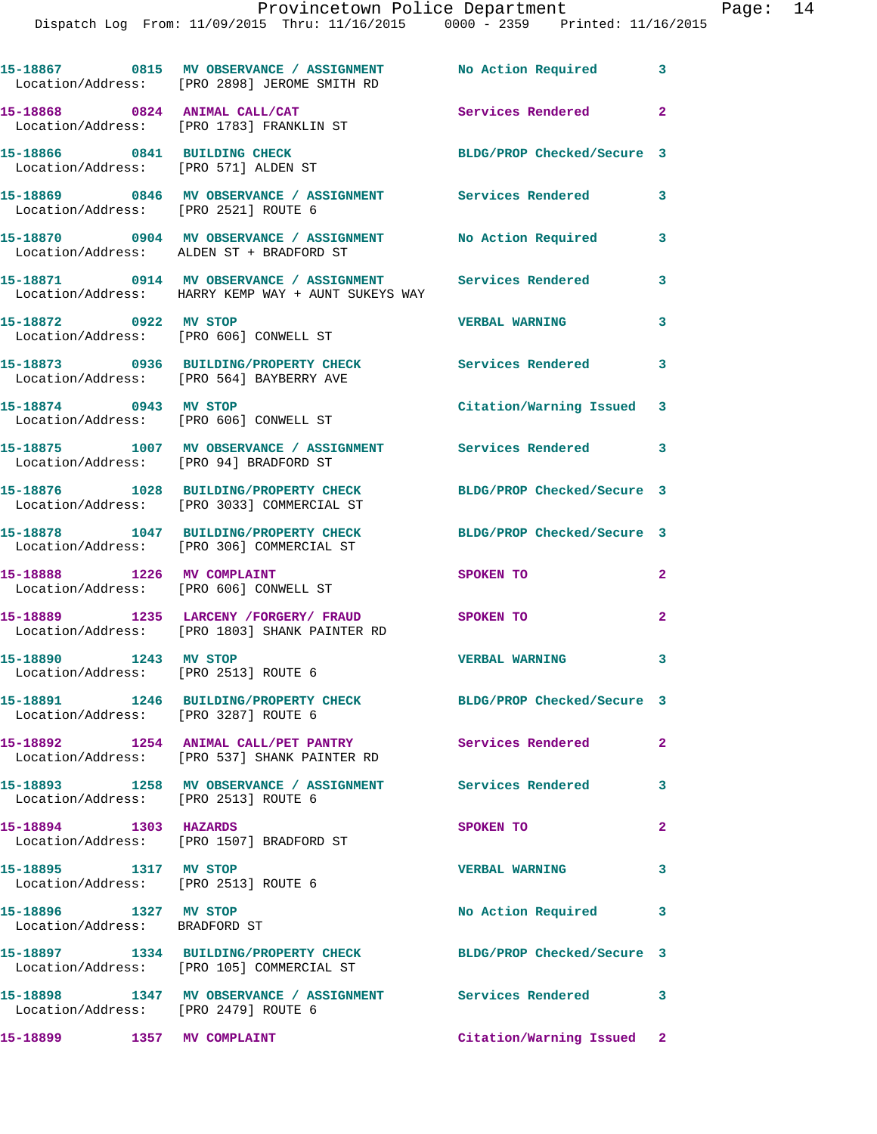## Provincetown Police Department Page: 14

Dispatch Log From: 11/09/2015 Thru: 11/16/2015 0000 - 2359 Printed: 11/16/2015

|                                                                      | 15-18867 0815 MV OBSERVANCE / ASSIGNMENT<br>Location/Address: [PRO 2898] JEROME SMITH RD                                      | No Action Required         | $\overline{\mathbf{3}}$ |
|----------------------------------------------------------------------|-------------------------------------------------------------------------------------------------------------------------------|----------------------------|-------------------------|
|                                                                      | 15-18868 0824 ANIMAL CALL/CAT<br>Location/Address: [PRO 1783] FRANKLIN ST                                                     | Services Rendered 2        |                         |
| 15-18866 0841 BUILDING CHECK<br>Location/Address: [PRO 571] ALDEN ST |                                                                                                                               | BLDG/PROP Checked/Secure 3 |                         |
| Location/Address: [PRO 2521] ROUTE 6                                 | 15-18869 0846 MV OBSERVANCE / ASSIGNMENT Services Rendered 3                                                                  |                            |                         |
|                                                                      |                                                                                                                               | <b>No Action Required</b>  | 3                       |
|                                                                      | 15-18871     0914   MV OBSERVANCE / ASSIGNMENT      Services Rendered<br>Location/Address:   HARRY KEMP WAY + AUNT SUKEYS WAY |                            | 3                       |
| 15-18872 0922 MV STOP                                                | Location/Address: [PRO 606] CONWELL ST                                                                                        | <b>VERBAL WARNING</b>      | 3                       |
|                                                                      | 15-18873 0936 BUILDING/PROPERTY CHECK<br>Location/Address: [PRO 564] BAYBERRY AVE                                             | <b>Services Rendered</b>   | $\overline{\mathbf{3}}$ |
| 15-18874 0943 MV STOP<br>Location/Address: [PRO 606] CONWELL ST      |                                                                                                                               | Citation/Warning Issued 3  |                         |
| Location/Address: [PRO 94] BRADFORD ST                               | 15-18875 1007 MV OBSERVANCE / ASSIGNMENT Services Rendered                                                                    |                            | $\overline{\mathbf{3}}$ |
|                                                                      | 15-18876 1028 BUILDING/PROPERTY CHECK<br>Location/Address: [PRO 3033] COMMERCIAL ST                                           | BLDG/PROP Checked/Secure 3 |                         |
|                                                                      | 15-18878 1047 BUILDING/PROPERTY CHECK<br>Location/Address: [PRO 306] COMMERCIAL ST                                            | BLDG/PROP Checked/Secure 3 |                         |
| 15-18888 1226 MV COMPLAINT                                           | Location/Address: [PRO 606] CONWELL ST                                                                                        | SPOKEN TO                  | $\overline{2}$          |
|                                                                      | 15-18889 1235 LARCENY / FORGERY / FRAUD SPOKEN TO<br>Location/Address: [PRO 1803] SHANK PAINTER RD                            |                            | $\mathbf{2}$            |
| 15-18890 1243 MV STOP<br>Location/Address: [PRO 2513] ROUTE 6        |                                                                                                                               | <b>VERBAL WARNING</b>      | 3                       |
| Location/Address: [PRO 3287] ROUTE 6                                 | 15-18891 1246 BUILDING/PROPERTY CHECK                                                                                         | BLDG/PROP Checked/Secure 3 |                         |
|                                                                      | 15-18892 1254 ANIMAL CALL/PET PANTRY<br>Location/Address: [PRO 537] SHANK PAINTER RD                                          | <b>Services Rendered</b>   | $\mathbf{2}$            |
| Location/Address: [PRO 2513] ROUTE 6                                 | 15-18893 1258 MV OBSERVANCE / ASSIGNMENT Services Rendered                                                                    |                            | $\mathbf{3}$            |
| 15-18894 1303 HAZARDS                                                | Location/Address: [PRO 1507] BRADFORD ST                                                                                      | SPOKEN TO                  | $\overline{2}$          |
| 15-18895 1317 MV STOP<br>Location/Address: [PRO 2513] ROUTE 6        |                                                                                                                               | <b>VERBAL WARNING</b>      | 3                       |
| 15-18896 1327 MV STOP<br>Location/Address: BRADFORD ST               |                                                                                                                               | No Action Required 3       |                         |
|                                                                      | 15-18897 1334 BUILDING/PROPERTY CHECK<br>Location/Address: [PRO 105] COMMERCIAL ST                                            | BLDG/PROP Checked/Secure 3 |                         |
| Location/Address: [PRO 2479] ROUTE 6                                 | 15-18898 1347 MV OBSERVANCE / ASSIGNMENT Services Rendered 3                                                                  |                            |                         |
| 15-18899 1357 MV COMPLAINT                                           |                                                                                                                               | Citation/Warning Issued 2  |                         |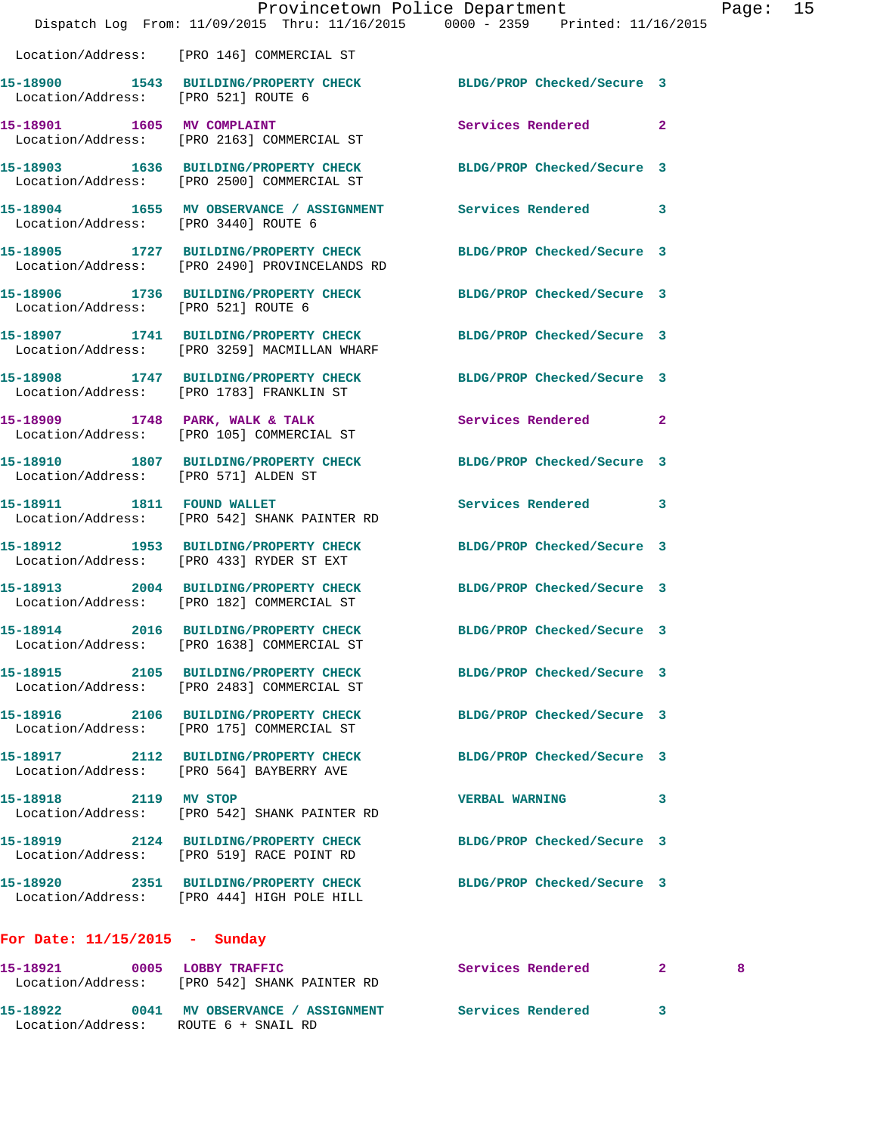|                                      | Dispatch Log From: 11/09/2015 Thru: 11/16/2015 0000 - 2359 Printed: 11/16/2015                                 | Provincetown Police Department |              | Page: 15 |  |
|--------------------------------------|----------------------------------------------------------------------------------------------------------------|--------------------------------|--------------|----------|--|
|                                      | Location/Address: [PRO 146] COMMERCIAL ST                                                                      |                                |              |          |  |
| Location/Address: [PRO 521] ROUTE 6  | 15-18900 1543 BUILDING/PROPERTY CHECK BLDG/PROP Checked/Secure 3                                               |                                |              |          |  |
|                                      | 15-18901 1605 MV COMPLAINT<br>Location/Address: [PRO 2163] COMMERCIAL ST                                       | Services Rendered 2            |              |          |  |
|                                      | 15-18903 1636 BUILDING/PROPERTY CHECK<br>Location/Address: [PRO 2500] COMMERCIAL ST                            | BLDG/PROP Checked/Secure 3     |              |          |  |
| Location/Address: [PRO 3440] ROUTE 6 | 15-18904 1655 MV OBSERVANCE / ASSIGNMENT Services Rendered 3                                                   |                                |              |          |  |
|                                      | 15-18905 1727 BUILDING/PROPERTY CHECK<br>Location/Address: [PRO 2490] PROVINCELANDS RD                         | BLDG/PROP Checked/Secure 3     |              |          |  |
| Location/Address: [PRO 521] ROUTE 6  | 15-18906 1736 BUILDING/PROPERTY CHECK BLDG/PROP Checked/Secure 3                                               |                                |              |          |  |
|                                      | 15-18907 1741 BUILDING/PROPERTY CHECK<br>Location/Address: [PRO 3259] MACMILLAN WHARF                          | BLDG/PROP Checked/Secure 3     |              |          |  |
|                                      | 15-18908 1747 BUILDING/PROPERTY CHECK<br>Location/Address: [PRO 1783] FRANKLIN ST                              | BLDG/PROP Checked/Secure 3     |              |          |  |
|                                      | 15-18909 1748 PARK, WALK & TALK<br>Location/Address: [PRO 105] COMMERCIAL ST                                   | Services Rendered 2            |              |          |  |
| Location/Address: [PRO 571] ALDEN ST | 15-18910 1807 BUILDING/PROPERTY CHECK BLDG/PROP Checked/Secure 3                                               |                                |              |          |  |
| 15-18911 1811 FOUND WALLET           | Location/Address: [PRO 542] SHANK PAINTER RD                                                                   | Services Rendered 3            |              |          |  |
|                                      | 15-18912 1953 BUILDING/PROPERTY CHECK<br>Location/Address: [PRO 433] RYDER ST EXT                              | BLDG/PROP Checked/Secure 3     |              |          |  |
|                                      | 15-18913 2004 BUILDING/PROPERTY CHECK<br>Location/Address: [PRO 182] COMMERCIAL ST                             | BLDG/PROP Checked/Secure 3     |              |          |  |
|                                      | 15-18914 2016 BUILDING/PROPERTY CHECK BLDG/PROP Checked/Secure 3<br>Location/Address: [PRO 1638] COMMERCIAL ST |                                |              |          |  |
|                                      | 15-18915 2105 BUILDING/PROPERTY CHECK<br>Location/Address: [PRO 2483] COMMERCIAL ST                            | BLDG/PROP Checked/Secure 3     |              |          |  |
|                                      | 15-18916 2106 BUILDING/PROPERTY CHECK<br>Location/Address: [PRO 175] COMMERCIAL ST                             | BLDG/PROP Checked/Secure 3     |              |          |  |
|                                      | 15-18917 2112 BUILDING/PROPERTY CHECK<br>Location/Address: [PRO 564] BAYBERRY AVE                              | BLDG/PROP Checked/Secure 3     |              |          |  |
|                                      | 15-18918 2119 MV STOP<br>Location/Address: [PRO 542] SHANK PAINTER RD                                          | <b>VERBAL WARNING</b>          | 3            |          |  |
|                                      | 15-18919 2124 BUILDING/PROPERTY CHECK BLDG/PROP Checked/Secure 3<br>Location/Address: [PRO 519] RACE POINT RD  |                                |              |          |  |
|                                      | 15-18920 2351 BUILDING/PROPERTY CHECK BLDG/PROP Checked/Secure 3<br>Location/Address: [PRO 444] HIGH POLE HILL |                                |              |          |  |
| For Date: $11/15/2015$ - Sunday      |                                                                                                                |                                |              |          |  |
|                                      | 15-18921 0005 LOBBY TRAFFIC<br>Location/Address: [PRO 542] SHANK PAINTER RD                                    | Services Rendered              | $\mathbf{2}$ | 8        |  |
|                                      | 15-18922 0041 MV OBSERVANCE / ASSIGNMENT Services Rendered 3                                                   |                                |              |          |  |

Location/Address: ROUTE 6 + SNAIL RD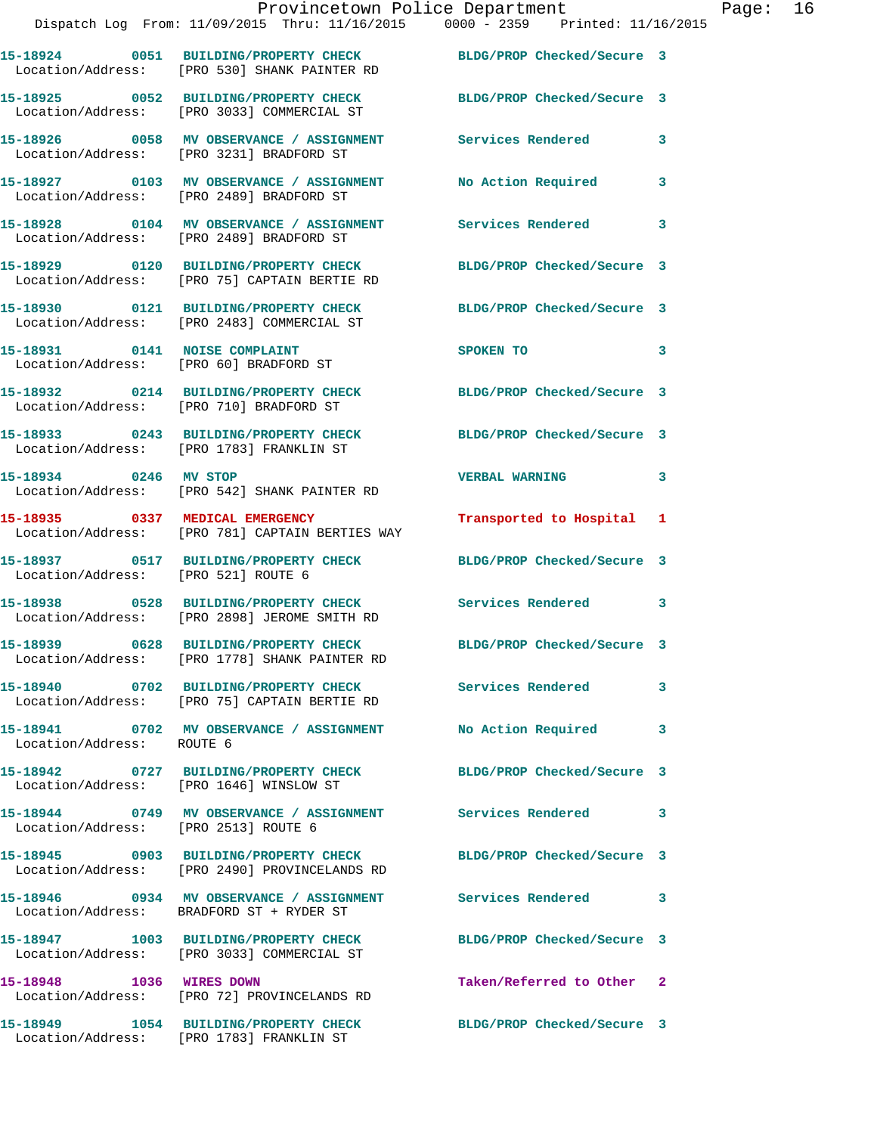|                                      | Provincetown Police Department<br>Dispatch Log From: 11/09/2015 Thru: 11/16/2015 0000 - 2359 Printed: 11/16/2015 |                            |   |
|--------------------------------------|------------------------------------------------------------------------------------------------------------------|----------------------------|---|
|                                      | 15-18924 0051 BUILDING/PROPERTY CHECK BLDG/PROP Checked/Secure 3<br>Location/Address: [PRO 530] SHANK PAINTER RD |                            |   |
|                                      | 15-18925 0052 BUILDING/PROPERTY CHECK BLDG/PROP Checked/Secure 3<br>Location/Address: [PRO 3033] COMMERCIAL ST   |                            |   |
|                                      | 15-18926 0058 MV OBSERVANCE / ASSIGNMENT Services Rendered<br>Location/Address: [PRO 3231] BRADFORD ST           |                            | 3 |
|                                      | 15-18927 0103 MV OBSERVANCE / ASSIGNMENT<br>Location/Address: [PRO 2489] BRADFORD ST                             | No Action Required         | 3 |
|                                      | 15-18928 0104 MV OBSERVANCE / ASSIGNMENT Services Rendered<br>Location/Address: [PRO 2489] BRADFORD ST           |                            | 3 |
|                                      | 15-18929 0120 BUILDING/PROPERTY CHECK BLDG/PROP Checked/Secure 3<br>Location/Address: [PRO 75] CAPTAIN BERTIE RD |                            |   |
|                                      | 15-18930 0121 BUILDING/PROPERTY CHECK<br>Location/Address: [PRO 2483] COMMERCIAL ST                              | BLDG/PROP Checked/Secure 3 |   |
|                                      | 15-18931 0141 NOISE COMPLAINT<br>Location/Address: [PRO 60] BRADFORD ST                                          | SPOKEN TO                  | 3 |
|                                      | 15-18932 0214 BUILDING/PROPERTY CHECK BLDG/PROP Checked/Secure 3<br>Location/Address: [PRO 710] BRADFORD ST      |                            |   |
|                                      | 15-18933 0243 BUILDING/PROPERTY CHECK BLDG/PROP Checked/Secure 3<br>Location/Address: [PRO 1783] FRANKLIN ST     |                            |   |
| 15-18934 0246 MV STOP                | Location/Address: [PRO 542] SHANK PAINTER RD                                                                     | <b>VERBAL WARNING</b>      | 3 |
|                                      | 15-18935 0337 MEDICAL EMERGENCY<br>Location/Address: [PRO 781] CAPTAIN BERTIES WAY                               | Transported to Hospital    | 1 |
| Location/Address: [PRO 521] ROUTE 6  | 15-18937 0517 BUILDING/PROPERTY CHECK BLDG/PROP Checked/Secure 3                                                 |                            |   |
|                                      | 15-18938 0528 BUILDING/PROPERTY CHECK Services Rendered<br>Location/Address: [PRO 2898] JEROME SMITH RD          |                            | 3 |
|                                      | 15-18939 0628 BUILDING/PROPERTY CHECK<br>Location/Address: [PRO 1778] SHANK PAINTER RD                           | BLDG/PROP Checked/Secure 3 |   |
|                                      | 15-18940 0702 BUILDING/PROPERTY CHECK Services Rendered<br>Location/Address: [PRO 75] CAPTAIN BERTIE RD          |                            | 3 |
| Location/Address: ROUTE 6            | 15-18941 0702 MV OBSERVANCE / ASSIGNMENT                                                                         | No Action Required         | 3 |
|                                      | 15-18942 0727 BUILDING/PROPERTY CHECK<br>Location/Address: [PRO 1646] WINSLOW ST                                 | BLDG/PROP Checked/Secure 3 |   |
| Location/Address: [PRO 2513] ROUTE 6 |                                                                                                                  |                            | 3 |
|                                      | 15-18945 0903 BUILDING/PROPERTY CHECK<br>Location/Address: [PRO 2490] PROVINCELANDS RD                           | BLDG/PROP Checked/Secure 3 |   |
|                                      | 15-18946 0934 MV OBSERVANCE / ASSIGNMENT<br>Location/Address: BRADFORD ST + RYDER ST                             | <b>Services Rendered</b>   | 3 |
|                                      | 15-18947 1003 BUILDING/PROPERTY CHECK<br>Location/Address: [PRO 3033] COMMERCIAL ST                              | BLDG/PROP Checked/Secure 3 |   |
| 15-18948 1036 WIRES DOWN             | Location/Address: [PRO 72] PROVINCELANDS RD                                                                      | Taken/Referred to Other 2  |   |
|                                      | 15-18949 1054 BUILDING/PROPERTY CHECK BLDG/PROP Checked/Secure 3                                                 |                            |   |

Location/Address: [PRO 1783] FRANKLIN ST

Page: 16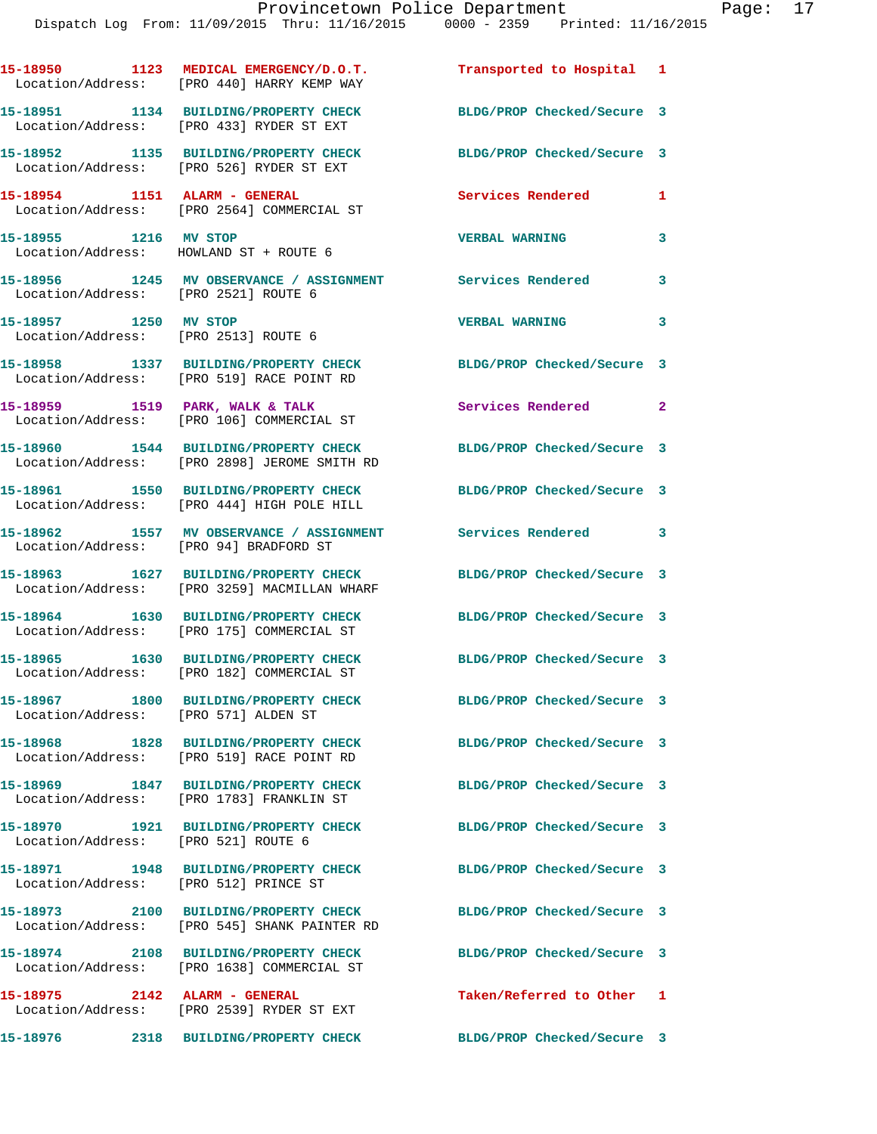|                                                               | 15-18950 1123 MEDICAL EMERGENCY/D.O.T.<br>Location/Address: [PRO 440] HARRY KEMP WAY                          | Transported to Hospital 1     |                            |
|---------------------------------------------------------------|---------------------------------------------------------------------------------------------------------------|-------------------------------|----------------------------|
|                                                               | 15-18951 1134 BUILDING/PROPERTY CHECK<br>Location/Address: [PRO 433] RYDER ST EXT                             | BLDG/PROP Checked/Secure 3    |                            |
|                                                               | 15-18952 1135 BUILDING/PROPERTY CHECK<br>Location/Address: [PRO 526] RYDER ST EXT                             | BLDG/PROP Checked/Secure 3    |                            |
|                                                               | 15-18954 1151 ALARM - GENERAL<br>Location/Address: [PRO 2564] COMMERCIAL ST                                   | Services Rendered             | 1                          |
| 15-18955 1216 MV STOP                                         | Location/Address: HOWLAND ST + ROUTE 6                                                                        | <b>VERBAL WARNING</b>         | 3                          |
| Location/Address: [PRO 2521] ROUTE 6                          | 15-18956 1245 MV OBSERVANCE / ASSIGNMENT Services Rendered                                                    |                               | 3                          |
| 15-18957 1250 MV STOP<br>Location/Address: [PRO 2513] ROUTE 6 |                                                                                                               | <b>VERBAL WARNING</b>         | $\mathbf{3}$               |
|                                                               | 15-18958 1337 BUILDING/PROPERTY CHECK<br>Location/Address: [PRO 519] RACE POINT RD                            | BLDG/PROP Checked/Secure 3    |                            |
|                                                               | 15-18959 1519 PARK, WALK & TALK<br>Location/Address: [PRO 106] COMMERCIAL ST                                  | Services Rendered<br>$\sim$ 2 |                            |
|                                                               | 15-18960 1544 BUILDING/PROPERTY CHECK<br>Location/Address: [PRO 2898] JEROME SMITH RD                         | BLDG/PROP Checked/Secure 3    |                            |
|                                                               | 15-18961 1550 BUILDING/PROPERTY CHECK<br>Location/Address: [PRO 444] HIGH POLE HILL                           | BLDG/PROP Checked/Secure 3    |                            |
| Location/Address: [PRO 94] BRADFORD ST                        | 15-18962 1557 MV OBSERVANCE / ASSIGNMENT Services Rendered                                                    |                               | $\overline{\phantom{a}}$ 3 |
|                                                               | 15-18963 1627 BUILDING/PROPERTY CHECK<br>Location/Address: [PRO 3259] MACMILLAN WHARF                         | BLDG/PROP Checked/Secure 3    |                            |
|                                                               | 15-18964 1630 BUILDING/PROPERTY CHECK<br>Location/Address: [PRO 175] COMMERCIAL ST                            | BLDG/PROP Checked/Secure 3    |                            |
|                                                               | 15-18965 1630 BUILDING/PROPERTY CHECK BLDG/PROP Checked/Secure 3<br>Location/Address: [PRO 182] COMMERCIAL ST |                               |                            |
| Location/Address: [PRO 571] ALDEN ST                          | 15-18967 1800 BUILDING/PROPERTY CHECK                                                                         | BLDG/PROP Checked/Secure 3    |                            |
|                                                               | 15-18968 1828 BUILDING/PROPERTY CHECK BLDG/PROP Checked/Secure 3<br>Location/Address: [PRO 519] RACE POINT RD |                               |                            |
|                                                               | 15-18969 1847 BUILDING/PROPERTY CHECK<br>Location/Address: [PRO 1783] FRANKLIN ST                             | BLDG/PROP Checked/Secure 3    |                            |
| Location/Address: [PRO 521] ROUTE 6                           | 15-18970 1921 BUILDING/PROPERTY CHECK BLDG/PROP Checked/Secure 3                                              |                               |                            |
| Location/Address: [PRO 512] PRINCE ST                         | 15-18971 1948 BUILDING/PROPERTY CHECK                                                                         | BLDG/PROP Checked/Secure 3    |                            |
|                                                               | 15-18973 2100 BUILDING/PROPERTY CHECK<br>Location/Address: [PRO 545] SHANK PAINTER RD                         | BLDG/PROP Checked/Secure 3    |                            |
|                                                               | 15-18974 2108 BUILDING/PROPERTY CHECK<br>Location/Address: [PRO 1638] COMMERCIAL ST                           | BLDG/PROP Checked/Secure 3    |                            |
|                                                               | 15-18975 2142 ALARM - GENERAL<br>Location/Address: [PRO 2539] RYDER ST EXT                                    | Taken/Referred to Other 1     |                            |
|                                                               | 15-18976 2318 BUILDING/PROPERTY CHECK                                                                         | BLDG/PROP Checked/Secure 3    |                            |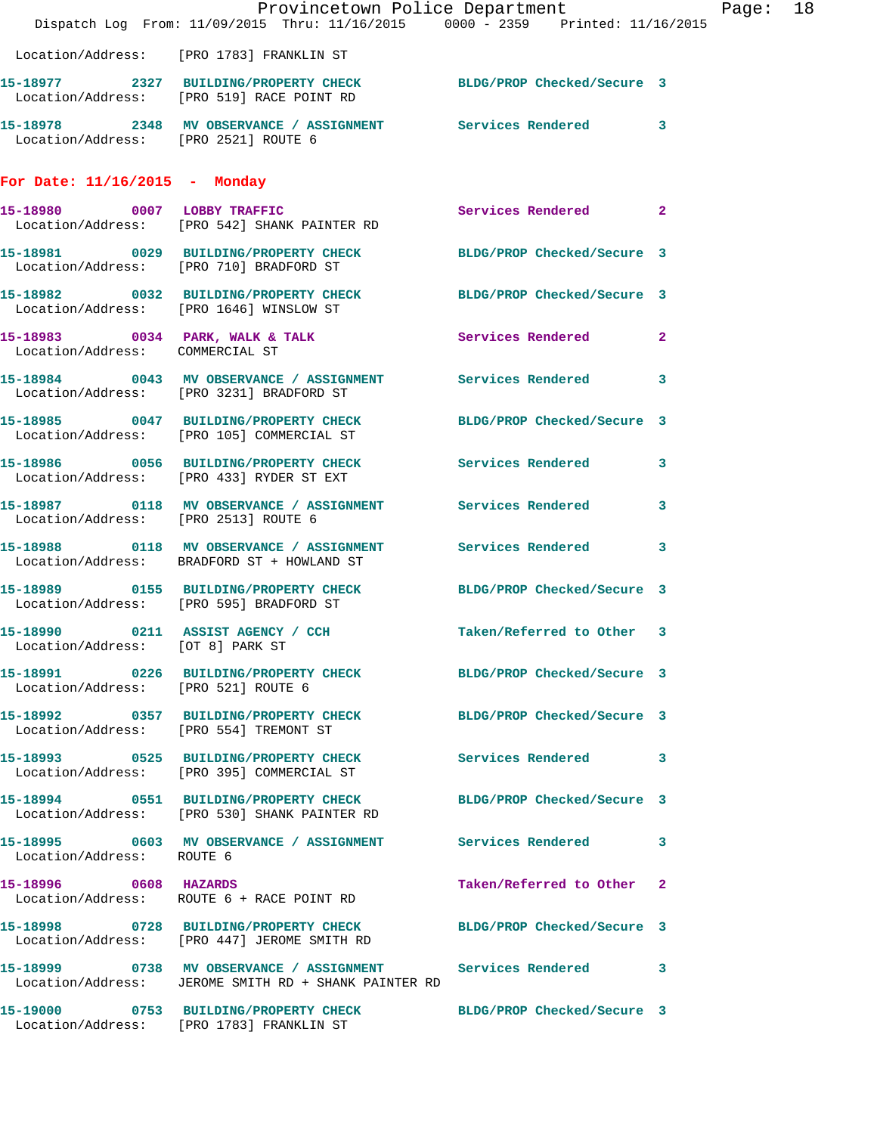|                                      | Dispatch Log From: 11/09/2015 Thru: 11/16/2015 0000 - 2359 Printed: 11/16/2015                                       | Provincetown Police Department | Page: 18 |
|--------------------------------------|----------------------------------------------------------------------------------------------------------------------|--------------------------------|----------|
|                                      | Location/Address: [PRO 1783] FRANKLIN ST                                                                             |                                |          |
|                                      | 15-18977 2327 BUILDING/PROPERTY CHECK BLDG/PROP Checked/Secure 3<br>Location/Address: [PRO 519] RACE POINT RD        |                                |          |
| Location/Address: [PRO 2521] ROUTE 6 | 15-18978 2348 MV OBSERVANCE / ASSIGNMENT Services Rendered 3                                                         |                                |          |
| For Date: $11/16/2015$ - Monday      |                                                                                                                      |                                |          |
|                                      | 15-18980 0007 LOBBY TRAFFIC<br>Location/Address: [PRO 542] SHANK PAINTER RD                                          | Services Rendered 2            |          |
|                                      | 15-18981 0029 BUILDING/PROPERTY CHECK BLDG/PROP Checked/Secure 3<br>Location/Address: [PRO 710] BRADFORD ST          |                                |          |
|                                      | 15-18982 0032 BUILDING/PROPERTY CHECK BLDG/PROP Checked/Secure 3<br>Location/Address: [PRO 1646] WINSLOW ST          |                                |          |
| Location/Address: COMMERCIAL ST      | 15-18983 0034 PARK, WALK & TALK 3 Services Rendered 2                                                                |                                |          |
|                                      | 15-18984 0043 MV OBSERVANCE / ASSIGNMENT Services Rendered 3<br>Location/Address: [PRO 3231] BRADFORD ST             |                                |          |
|                                      | 15-18985 0047 BUILDING/PROPERTY CHECK BLDG/PROP Checked/Secure 3<br>Location/Address: [PRO 105] COMMERCIAL ST        |                                |          |
|                                      | 15-18986 0056 BUILDING/PROPERTY CHECK Services Rendered 3<br>Location/Address: [PRO 433] RYDER ST EXT                |                                |          |
| Location/Address: [PRO 2513] ROUTE 6 | 15-18987 0118 MV OBSERVANCE / ASSIGNMENT Services Rendered 3                                                         |                                |          |
|                                      | 15-18988 0118 MV OBSERVANCE / ASSIGNMENT Services Rendered 3<br>Location/Address: BRADFORD ST + HOWLAND ST           |                                |          |
|                                      | 15-18989 0155 BUILDING/PROPERTY CHECK BLDG/PROP Checked/Secure 3<br>Location/Address: [PRO 595] BRADFORD ST          |                                |          |
| Location/Address: [OT 8] PARK ST     | 15-18990 0211 ASSIST AGENCY / CCH Taken/Referred to Other 3                                                          |                                |          |
|                                      | 15-18991 0226 BUILDING/PROPERTY CHECK BLDG/PROP Checked/Secure 3<br>Location/Address: [PRO 521] ROUTE 6              |                                |          |
|                                      | 15-18992 0357 BUILDING/PROPERTY CHECK BLDG/PROP Checked/Secure 3<br>Location/Address: [PRO 554] TREMONT ST           |                                |          |
|                                      | 15-18993 0525 BUILDING/PROPERTY CHECK Services Rendered 3<br>Location/Address: [PRO 395] COMMERCIAL ST               |                                |          |
|                                      | 15-18994 0551 BUILDING/PROPERTY CHECK BLDG/PROP Checked/Secure 3<br>Location/Address: [PRO 530] SHANK PAINTER RD     |                                |          |
| Location/Address: ROUTE 6            | 15-18995 0603 MV OBSERVANCE / ASSIGNMENT Services Rendered 3                                                         |                                |          |
| 15-18996 0608 HAZARDS                | Location/Address: ROUTE 6 + RACE POINT RD                                                                            | Taken/Referred to Other 2      |          |
|                                      | 15-18998 0728 BUILDING/PROPERTY CHECK BLDG/PROP Checked/Secure 3<br>Location/Address: [PRO 447] JEROME SMITH RD      |                                |          |
|                                      | 15-18999 0738 MV OBSERVANCE / ASSIGNMENT Services Rendered 3<br>Location/Address: JEROME SMITH RD + SHANK PAINTER RD |                                |          |
|                                      | 15-19000 0753 BUILDING/PROPERTY CHECK BLDG/PROP Checked/Secure 3<br>Location/Address: [PRO 1783] FRANKLIN ST         |                                |          |